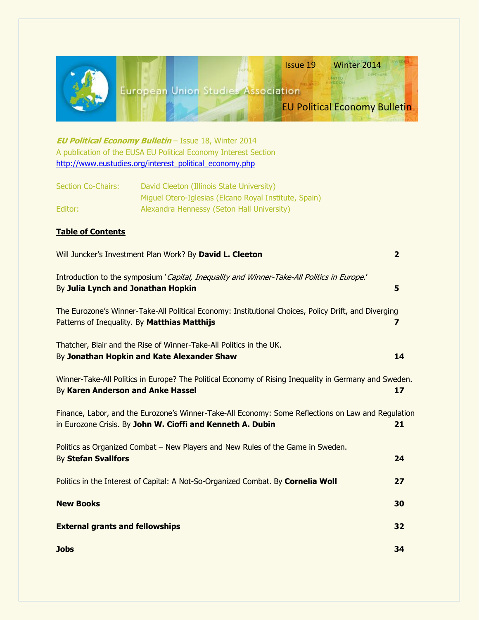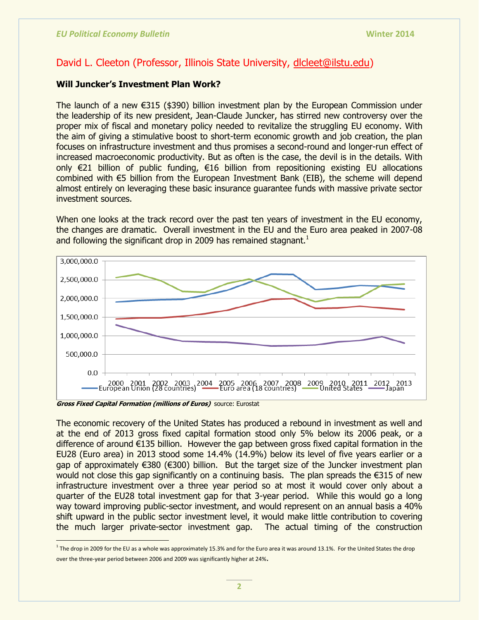## David L. Cleeton (Professor, Illinois State University, [dlcleet@ilstu.edu\)](mailto:dlcleet@ilstu.edu)

### **Will Juncker"s Investment Plan Work?**

The launch of a new €315 (\$390) billion investment plan by the European Commission under the leadership of its new president, Jean-Claude Juncker, has stirred new controversy over the proper mix of fiscal and monetary policy needed to revitalize the struggling EU economy. With the aim of giving a stimulative boost to short-term economic growth and job creation, the plan focuses on infrastructure investment and thus promises a second-round and longer-run effect of increased macroeconomic productivity. But as often is the case, the devil is in the details. With only €21 billion of public funding, €16 billion from repositioning existing EU allocations combined with €5 billion from the European Investment Bank (EIB), the scheme will depend almost entirely on leveraging these basic insurance guarantee funds with massive private sector investment sources.

When one looks at the track record over the past ten years of investment in the EU economy, the changes are dramatic. Overall investment in the EU and the Euro area peaked in 2007-08 and following the significant drop in 2009 has remained stagnant. $<sup>1</sup>$ </sup>



**Gross Fixed Capital Formation (millions of Euros)** source: Eurostat

The economic recovery of the United States has produced a rebound in investment as well and at the end of 2013 gross fixed capital formation stood only 5% below its 2006 peak, or a difference of around €135 billion. However the gap between gross fixed capital formation in the EU28 (Euro area) in 2013 stood some 14.4% (14.9%) below its level of five years earlier or a gap of approximately €380 (€300) billion. But the target size of the Juncker investment plan would not close this gap significantly on a continuing basis. The plan spreads the €315 of new infrastructure investment over a three year period so at most it would cover only about a quarter of the EU28 total investment gap for that 3-year period. While this would go a long way toward improving public-sector investment, and would represent on an annual basis a 40% shift upward in the public sector investment level, it would make little contribution to covering the much larger private-sector investment gap. The actual timing of the construction

 $^1$  The drop in 2009 for the EU as a whole was approximately 15.3% and for the Euro area it was around 13.1%. For the United States the drop over the three-year period between 2006 and 2009 was significantly higher at 24%.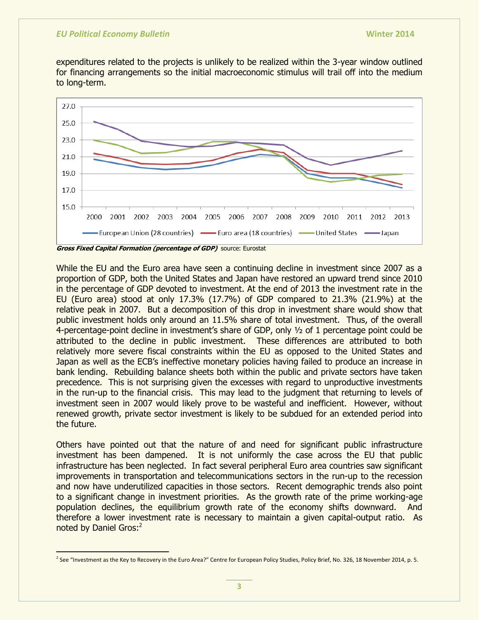expenditures related to the projects is unlikely to be realized within the 3-year window outlined for financing arrangements so the initial macroeconomic stimulus will trail off into the medium to long-term.



**Gross Fixed Capital Formation (percentage of GDP)** source: Eurostat

While the EU and the Euro area have seen a continuing decline in investment since 2007 as a proportion of GDP, both the United States and Japan have restored an upward trend since 2010 in the percentage of GDP devoted to investment. At the end of 2013 the investment rate in the EU (Euro area) stood at only 17.3% (17.7%) of GDP compared to 21.3% (21.9%) at the relative peak in 2007. But a decomposition of this drop in investment share would show that public investment holds only around an 11.5% share of total investment. Thus, of the overall 4-percentage-point decline in investment's share of GDP, only ½ of 1 percentage point could be attributed to the decline in public investment. These differences are attributed to both relatively more severe fiscal constraints within the EU as opposed to the United States and Japan as well as the ECB's ineffective monetary policies having failed to produce an increase in bank lending. Rebuilding balance sheets both within the public and private sectors have taken precedence. This is not surprising given the excesses with regard to unproductive investments in the run-up to the financial crisis. This may lead to the judgment that returning to levels of investment seen in 2007 would likely prove to be wasteful and inefficient. However, without renewed growth, private sector investment is likely to be subdued for an extended period into the future.

Others have pointed out that the nature of and need for significant public infrastructure investment has been dampened. It is not uniformly the case across the EU that public infrastructure has been neglected. In fact several peripheral Euro area countries saw significant improvements in transportation and telecommunications sectors in the run-up to the recession and now have underutilized capacities in those sectors. Recent demographic trends also point to a significant change in investment priorities. As the growth rate of the prime working-age population declines, the equilibrium growth rate of the economy shifts downward. And therefore a lower investment rate is necessary to maintain a given capital-output ratio. As noted by Daniel Gros:<sup>2</sup>

 <sup>2</sup> See "Investment as the Key to Recovery in the Euro Area?" Centre for European Policy Studies, Policy Brief, No. 326, 18 November 2014, p. 5.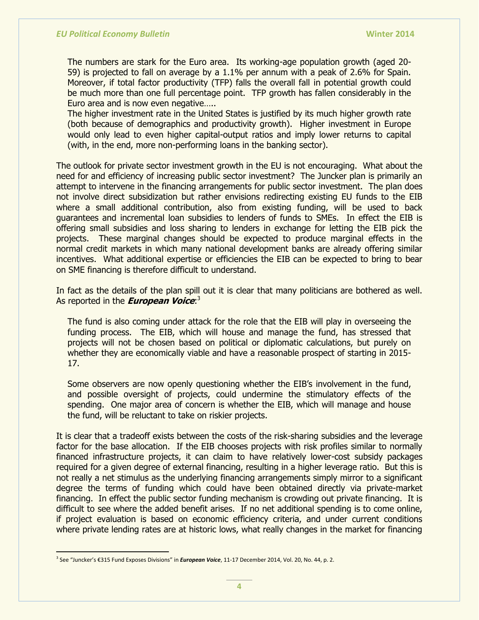The numbers are stark for the Euro area. Its working-age population growth (aged 20- 59) is projected to fall on average by a 1.1% per annum with a peak of 2.6% for Spain. Moreover, if total factor productivity (TFP) falls the overall fall in potential growth could be much more than one full percentage point. TFP growth has fallen considerably in the Euro area and is now even negative…..

The higher investment rate in the United States is justified by its much higher growth rate (both because of demographics and productivity growth). Higher investment in Europe would only lead to even higher capital-output ratios and imply lower returns to capital (with, in the end, more non-performing loans in the banking sector).

The outlook for private sector investment growth in the EU is not encouraging. What about the need for and efficiency of increasing public sector investment? The Juncker plan is primarily an attempt to intervene in the financing arrangements for public sector investment. The plan does not involve direct subsidization but rather envisions redirecting existing EU funds to the EIB where a small additional contribution, also from existing funding, will be used to back guarantees and incremental loan subsidies to lenders of funds to SMEs. In effect the EIB is offering small subsidies and loss sharing to lenders in exchange for letting the EIB pick the projects. These marginal changes should be expected to produce marginal effects in the normal credit markets in which many national development banks are already offering similar incentives. What additional expertise or efficiencies the EIB can be expected to bring to bear on SME financing is therefore difficult to understand.

In fact as the details of the plan spill out it is clear that many politicians are bothered as well. As reported in the **European Voice**: 3

The fund is also coming under attack for the role that the EIB will play in overseeing the funding process. The EIB, which will house and manage the fund, has stressed that projects will not be chosen based on political or diplomatic calculations, but purely on whether they are economically viable and have a reasonable prospect of starting in 2015- 17.

Some observers are now openly questioning whether the EIB's involvement in the fund, and possible oversight of projects, could undermine the stimulatory effects of the spending. One major area of concern is whether the EIB, which will manage and house the fund, will be reluctant to take on riskier projects.

It is clear that a tradeoff exists between the costs of the risk-sharing subsidies and the leverage factor for the base allocation. If the EIB chooses projects with risk profiles similar to normally financed infrastructure projects, it can claim to have relatively lower-cost subsidy packages required for a given degree of external financing, resulting in a higher leverage ratio. But this is not really a net stimulus as the underlying financing arrangements simply mirror to a significant degree the terms of funding which could have been obtained directly via private-market financing. In effect the public sector funding mechanism is crowding out private financing. It is difficult to see where the added benefit arises. If no net additional spending is to come online, if project evaluation is based on economic efficiency criteria, and under current conditions where private lending rates are at historic lows, what really changes in the market for financing

<sup>3</sup> See "Juncker's €315 Fund Exposes Divisions" in *European Voice*, 11-17 December 2014, Vol. 20, No. 44, p. 2.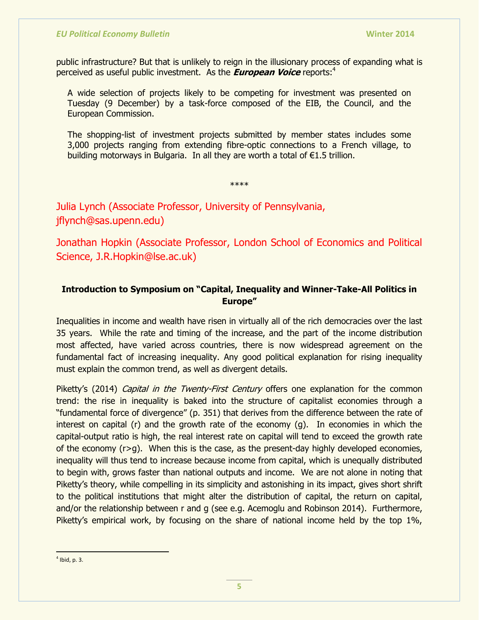public infrastructure? But that is unlikely to reign in the illusionary process of expanding what is perceived as useful public investment. As the **European Voice** reports:<sup>4</sup>

A wide selection of projects likely to be competing for investment was presented on Tuesday (9 December) by a task-force composed of the EIB, the Council, and the European Commission.

The shopping-list of investment projects submitted by member states includes some 3,000 projects ranging from extending fibre-optic connections to a French village, to building motorways in Bulgaria. In all they are worth a total of €1.5 trillion.

\*\*\*\*

Julia Lynch (Associate Professor, University of Pennsylvania, jflynch@sas.upenn.edu)

Jonathan Hopkin (Associate Professor, London School of Economics and Political Science, J.R.Hopkin@lse.ac.uk)

## **Introduction to Symposium on "Capital, Inequality and Winner-Take-All Politics in Europe"**

Inequalities in income and wealth have risen in virtually all of the rich democracies over the last 35 years. While the rate and timing of the increase, and the part of the income distribution most affected, have varied across countries, there is now widespread agreement on the fundamental fact of increasing inequality. Any good political explanation for rising inequality must explain the common trend, as well as divergent details.

Piketty's (2014) *Capital in the Twenty-First Century* offers one explanation for the common trend: the rise in inequality is baked into the structure of capitalist economies through a "fundamental force of divergence" (p. 351) that derives from the difference between the rate of interest on capital (r) and the growth rate of the economy (g). In economies in which the capital-output ratio is high, the real interest rate on capital will tend to exceed the growth rate of the economy  $(r>q)$ . When this is the case, as the present-day highly developed economies, inequality will thus tend to increase because income from capital, which is unequally distributed to begin with, grows faster than national outputs and income. We are not alone in noting that Piketty's theory, while compelling in its simplicity and astonishing in its impact, gives short shrift to the political institutions that might alter the distribution of capital, the return on capital, and/or the relationship between r and g (see e.g. Acemoglu and Robinson 2014). Furthermore, Piketty's empirical work, by focusing on the share of national income held by the top 1%,

  $<sup>4</sup>$  Ibid, p. 3.</sup>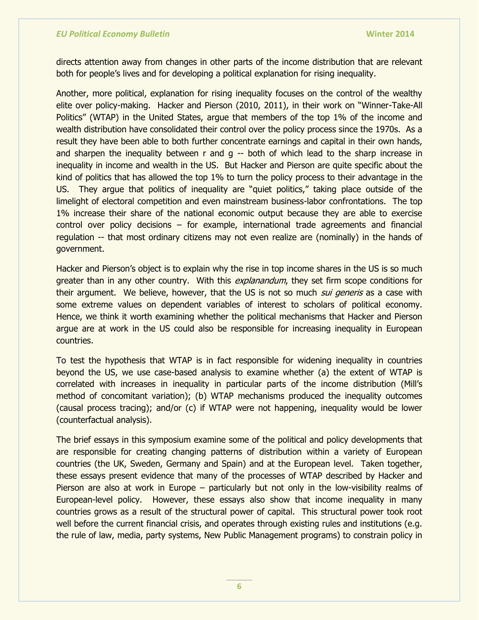directs attention away from changes in other parts of the income distribution that are relevant both for people's lives and for developing a political explanation for rising inequality.

Another, more political, explanation for rising inequality focuses on the control of the wealthy elite over policy-making. Hacker and Pierson (2010, 2011), in their work on "Winner-Take-All Politics" (WTAP) in the United States, argue that members of the top 1% of the income and wealth distribution have consolidated their control over the policy process since the 1970s. As a result they have been able to both further concentrate earnings and capital in their own hands, and sharpen the inequality between  $r$  and  $g -r$  both of which lead to the sharp increase in inequality in income and wealth in the US. But Hacker and Pierson are quite specific about the kind of politics that has allowed the top 1% to turn the policy process to their advantage in the US. They argue that politics of inequality are "quiet politics," taking place outside of the limelight of electoral competition and even mainstream business-labor confrontations. The top 1% increase their share of the national economic output because they are able to exercise control over policy decisions – for example, international trade agreements and financial regulation -- that most ordinary citizens may not even realize are (nominally) in the hands of government.

Hacker and Pierson's object is to explain why the rise in top income shares in the US is so much greater than in any other country. With this *explanandum*, they set firm scope conditions for their argument. We believe, however, that the US is not so much *sui generis* as a case with some extreme values on dependent variables of interest to scholars of political economy. Hence, we think it worth examining whether the political mechanisms that Hacker and Pierson argue are at work in the US could also be responsible for increasing inequality in European countries.

To test the hypothesis that WTAP is in fact responsible for widening inequality in countries beyond the US, we use case-based analysis to examine whether (a) the extent of WTAP is correlated with increases in inequality in particular parts of the income distribution (Mill's method of concomitant variation); (b) WTAP mechanisms produced the inequality outcomes (causal process tracing); and/or (c) if WTAP were not happening, inequality would be lower (counterfactual analysis).

The brief essays in this symposium examine some of the political and policy developments that are responsible for creating changing patterns of distribution within a variety of European countries (the UK, Sweden, Germany and Spain) and at the European level. Taken together, these essays present evidence that many of the processes of WTAP described by Hacker and Pierson are also at work in Europe – particularly but not only in the low-visibility realms of European-level policy. However, these essays also show that income inequality in many countries grows as a result of the structural power of capital. This structural power took root well before the current financial crisis, and operates through existing rules and institutions (e.g. the rule of law, media, party systems, New Public Management programs) to constrain policy in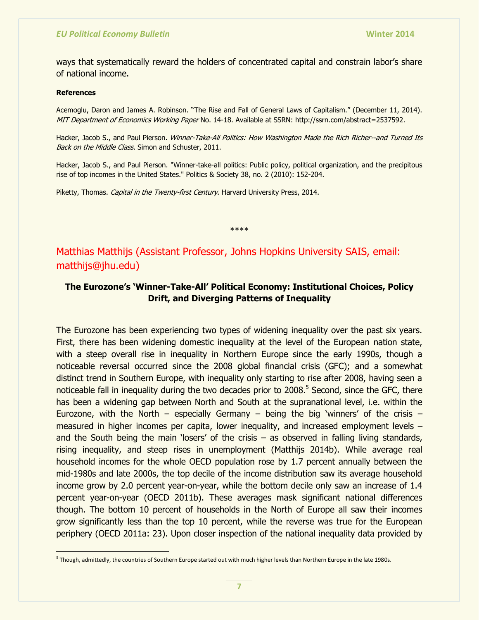ways that systematically reward the holders of concentrated capital and constrain labor's share of national income.

#### **References**

Acemoglu, Daron and James A. Robinson. "The Rise and Fall of General Laws of Capitalism." (December 11, 2014). MIT Department of Economics Working Paper No. 14-18. Available at SSRN: [http://ssrn.com/abstract=2537592.](http://ssrn.com/abstract=2537592)

Hacker, Jacob S., and Paul Pierson. Winner-Take-All Politics: How Washington Made the Rich Richer--and Turned Its Back on the Middle Class. Simon and Schuster, 2011.

Hacker, Jacob S., and Paul Pierson. "Winner-take-all politics: Public policy, political organization, and the precipitous rise of top incomes in the United States." Politics & Society 38, no. 2 (2010): 152-204.

Piketty, Thomas. Capital in the Twenty-first Century. Harvard University Press, 2014.

\*\*\*\*

Matthias Matthijs (Assistant Professor, Johns Hopkins University SAIS, email: matthijs@jhu.edu)

## **The Eurozone"s "Winner-Take-All" Political Economy: Institutional Choices, Policy Drift, and Diverging Patterns of Inequality**

The Eurozone has been experiencing two types of widening inequality over the past six years. First, there has been widening domestic inequality at the level of the European nation state, with a steep overall rise in inequality in Northern Europe since the early 1990s, though a noticeable reversal occurred since the 2008 global financial crisis (GFC); and a somewhat distinct trend in Southern Europe, with inequality only starting to rise after 2008, having seen a noticeable fall in inequality during the two decades prior to 2008.<sup>5</sup> Second, since the GFC, there has been a widening gap between North and South at the supranational level, i.e. within the Eurozone, with the North – especially Germany – being the big 'winners' of the crisis – measured in higher incomes per capita, lower inequality, and increased employment levels – and the South being the main 'losers' of the crisis – as observed in falling living standards, rising inequality, and steep rises in unemployment (Matthijs 2014b). While average real household incomes for the whole OECD population rose by 1.7 percent annually between the mid-1980s and late 2000s, the top decile of the income distribution saw its average household income grow by 2.0 percent year-on-year, while the bottom decile only saw an increase of 1.4 percent year-on-year (OECD 2011b). These averages mask significant national differences though. The bottom 10 percent of households in the North of Europe all saw their incomes grow significantly less than the top 10 percent, while the reverse was true for the European periphery (OECD 2011a: 23). Upon closer inspection of the national inequality data provided by

<sup>&</sup>lt;sup>5</sup> Though, admittedly, the countries of Southern Europe started out with much higher levels than Northern Europe in the late 1980s.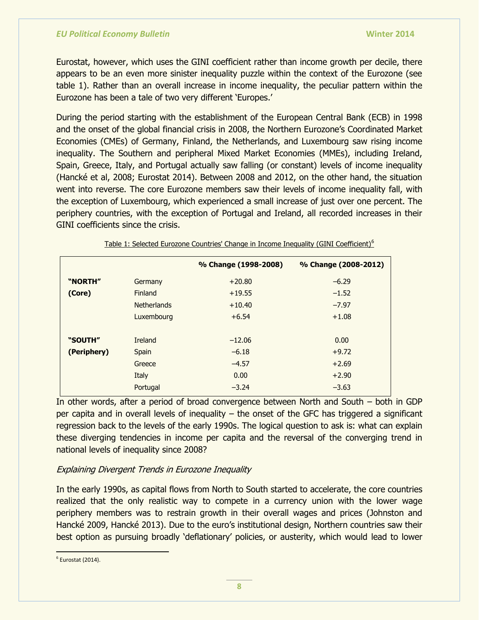Eurostat, however, which uses the GINI coefficient rather than income growth per decile, there appears to be an even more sinister inequality puzzle within the context of the Eurozone (see table 1). Rather than an overall increase in income inequality, the peculiar pattern within the Eurozone has been a tale of two very different 'Europes.'

During the period starting with the establishment of the European Central Bank (ECB) in 1998 and the onset of the global financial crisis in 2008, the Northern Eurozone's Coordinated Market Economies (CMEs) of Germany, Finland, the Netherlands, and Luxembourg saw rising income inequality. The Southern and peripheral Mixed Market Economies (MMEs), including Ireland, Spain, Greece, Italy, and Portugal actually saw falling (or constant) levels of income inequality (Hancké et al, 2008; Eurostat 2014). Between 2008 and 2012, on the other hand, the situation went into reverse. The core Eurozone members saw their levels of income inequality fall, with the exception of Luxembourg, which experienced a small increase of just over one percent. The periphery countries, with the exception of Portugal and Ireland, all recorded increases in their GINI coefficients since the crisis.

|             |                    | % Change (1998-2008) | % Change (2008-2012) |
|-------------|--------------------|----------------------|----------------------|
| "NORTH"     | Germany            | $+20.80$             | $-6.29$              |
| (Core)      | Finland            | $+19.55$             | $-1.52$              |
|             | <b>Netherlands</b> | $+10.40$             | $-7.97$              |
|             | Luxembourg         | $+6.54$              | $+1.08$              |
|             |                    |                      |                      |
| "SOUTH"     | Ireland            | $-12.06$             | 0.00                 |
| (Periphery) | Spain              | $-6.18$              | $+9.72$              |
|             | Greece             | $-4.57$              | $+2.69$              |
|             | Italy              | 0.00                 | $+2.90$              |
|             | Portugal           | $-3.24$              | $-3.63$              |
|             |                    |                      |                      |

Table 1: Selected Eurozone Countries' Change in Income Inequality (GINI Coefficient)<sup>6</sup>

In other words, after a period of broad convergence between North and South – both in GDP per capita and in overall levels of inequality – the onset of the GFC has triggered a significant regression back to the levels of the early 1990s. The logical question to ask is: what can explain these diverging tendencies in income per capita and the reversal of the converging trend in national levels of inequality since 2008?

## Explaining Divergent Trends in Eurozone Inequality

In the early 1990s, as capital flows from North to South started to accelerate, the core countries realized that the only realistic way to compete in a currency union with the lower wage periphery members was to restrain growth in their overall wages and prices (Johnston and Hancké 2009, Hancké 2013). Due to the euro's institutional design, Northern countries saw their best option as pursuing broadly 'deflationary' policies, or austerity, which would lead to lower

 6 Eurostat (2014).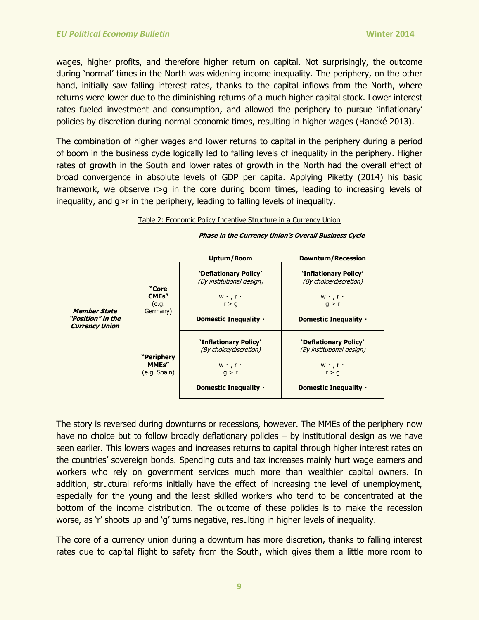wages, higher profits, and therefore higher return on capital. Not surprisingly, the outcome during 'normal' times in the North was widening income inequality. The periphery, on the other hand, initially saw falling interest rates, thanks to the capital inflows from the North, where returns were lower due to the diminishing returns of a much higher capital stock. Lower interest rates fueled investment and consumption, and allowed the periphery to pursue 'inflationary' policies by discretion during normal economic times, resulting in higher wages (Hancké 2013).

The combination of higher wages and lower returns to capital in the periphery during a period of boom in the business cycle logically led to falling levels of inequality in the periphery. Higher rates of growth in the South and lower rates of growth in the North had the overall effect of broad convergence in absolute levels of GDP per capita. Applying Piketty (2014) his basic framework, we observe r>g in the core during boom times, leading to increasing levels of inequality, and g>r in the periphery, leading to falling levels of inequality.

#### Table 2: Economic Policy Incentive Structure in a Currency Union

#### **Upturn/Boom Downturn/Recession "Deflationary Policy" "Inflationary Policy"** (By institutional design) (By choice/discretion) **"Core CMEs"**  $w \cdot r$  $W$   $\cdot$  ,  $\Gamma$   $\cdot$ (e.g.  $r > g$  $g > r$ Germany) **Member State "Position" in the Domestic Inequality · Domestic Inequality . Currency Union "Inflationary Policy" "Deflationary Policy"** (By choice/discretion) (By institutional design) **"Periphery MMEs"**  $W$   $\cdot$  ,  $\Gamma$   $\cdot$  $W$   $\cdot$  ,  $\Gamma$   $\cdot$ (e.g. Spain)  $q > r$  $r > g$ **Domestic Inequality · Domestic Inequality .**

#### **Phase in the Currency Union"s Overall Business Cycle**

The story is reversed during downturns or recessions, however. The MMEs of the periphery now have no choice but to follow broadly deflationary policies – by institutional design as we have seen earlier. This lowers wages and increases returns to capital through higher interest rates on the countries' sovereign bonds. Spending cuts and tax increases mainly hurt wage earners and workers who rely on government services much more than wealthier capital owners. In addition, structural reforms initially have the effect of increasing the level of unemployment, especially for the young and the least skilled workers who tend to be concentrated at the bottom of the income distribution. The outcome of these policies is to make the recession worse, as 'r' shoots up and 'g' turns negative, resulting in higher levels of inequality.

The core of a currency union during a downturn has more discretion, thanks to falling interest rates due to capital flight to safety from the South, which gives them a little more room to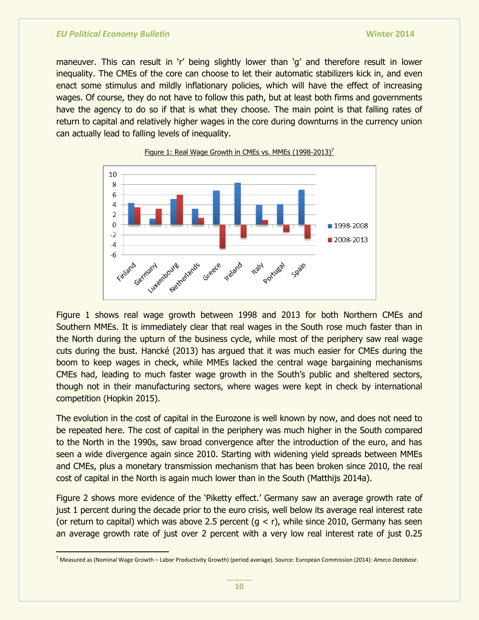maneuver. This can result in 'r' being slightly lower than 'g' and therefore result in lower inequality. The CMEs of the core can choose to let their automatic stabilizers kick in, and even enact some stimulus and mildly inflationary policies, which will have the effect of increasing wages. Of course, they do not have to follow this path, but at least both firms and governments have the agency to do so if that is what they choose. The main point is that falling rates of return to capital and relatively higher wages in the core during downturns in the currency union can actually lead to falling levels of inequality.





Figure 1 shows real wage growth between 1998 and 2013 for both Northern CMEs and Southern MMEs. It is immediately clear that real wages in the South rose much faster than in the North during the upturn of the business cycle, while most of the periphery saw real wage cuts during the bust. Hancké (2013) has argued that it was much easier for CMEs during the boom to keep wages in check, while MMEs lacked the central wage bargaining mechanisms CMEs had, leading to much faster wage growth in the South's public and sheltered sectors, though not in their manufacturing sectors, where wages were kept in check by international competition (Hopkin 2015).

The evolution in the cost of capital in the Eurozone is well known by now, and does not need to be repeated here. The cost of capital in the periphery was much higher in the South compared to the North in the 1990s, saw broad convergence after the introduction of the euro, and has seen a wide divergence again since 2010. Starting with widening yield spreads between MMEs and CMEs, plus a monetary transmission mechanism that has been broken since 2010, the real cost of capital in the North is again much lower than in the South (Matthijs 2014a).

Figure 2 shows more evidence of the 'Piketty effect.' Germany saw an average growth rate of just 1 percent during the decade prior to the euro crisis, well below its average real interest rate (or return to capital) which was above 2.5 percent  $(q < r)$ , while since 2010, Germany has seen an average growth rate of just over 2 percent with a very low real interest rate of just 0.25

<sup>7</sup> Measured as (Nominal Wage Growth – Labor Productivity Growth) (period average). Source: European Commission (2014): *Ameco Database*.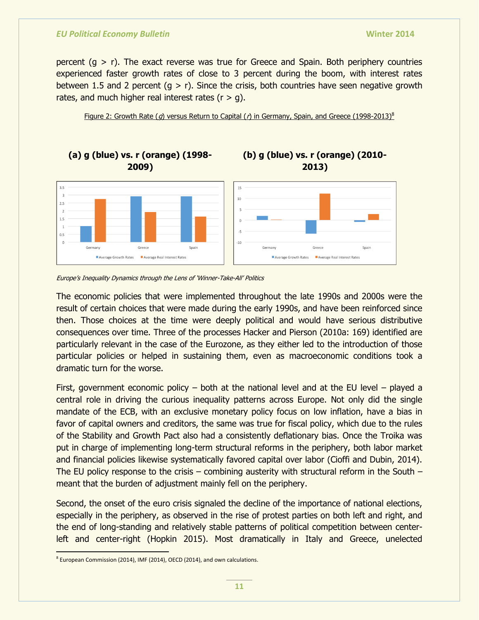percent  $(g > r)$ . The exact reverse was true for Greece and Spain. Both periphery countries experienced faster growth rates of close to 3 percent during the boom, with interest rates between 1.5 and 2 percent  $(g > r)$ . Since the crisis, both countries have seen negative growth rates, and much higher real interest rates  $(r > q)$ .

Figure 2: Growth Rate (g) versus Return to Capital ( $r$ ) in Germany, Spain, and Greece (1998-2013)<sup>8</sup>



The economic policies that were implemented throughout the late 1990s and 2000s were the result of certain choices that were made during the early 1990s, and have been reinforced since then. Those choices at the time were deeply political and would have serious distributive consequences over time. Three of the processes Hacker and Pierson (2010a: 169) identified are particularly relevant in the case of the Eurozone, as they either led to the introduction of those particular policies or helped in sustaining them, even as macroeconomic conditions took a dramatic turn for the worse.

First, government economic policy – both at the national level and at the EU level – played a central role in driving the curious inequality patterns across Europe. Not only did the single mandate of the ECB, with an exclusive monetary policy focus on low inflation, have a bias in favor of capital owners and creditors, the same was true for fiscal policy, which due to the rules of the Stability and Growth Pact also had a consistently deflationary bias. Once the Troika was put in charge of implementing long-term structural reforms in the periphery, both labor market and financial policies likewise systematically favored capital over labor (Cioffi and Dubin, 2014). The EU policy response to the crisis – combining austerity with structural reform in the South – meant that the burden of adjustment mainly fell on the periphery.

Second, the onset of the euro crisis signaled the decline of the importance of national elections, especially in the periphery, as observed in the rise of protest parties on both left and right, and the end of long-standing and relatively stable patterns of political competition between centerleft and center-right (Hopkin 2015). Most dramatically in Italy and Greece, unelected

Europe's Inequality Dynamics through the Lens of 'Winner-Take-All' Politics

  $^8$  European Commission (2014), IMF (2014), OECD (2014), and own calculations.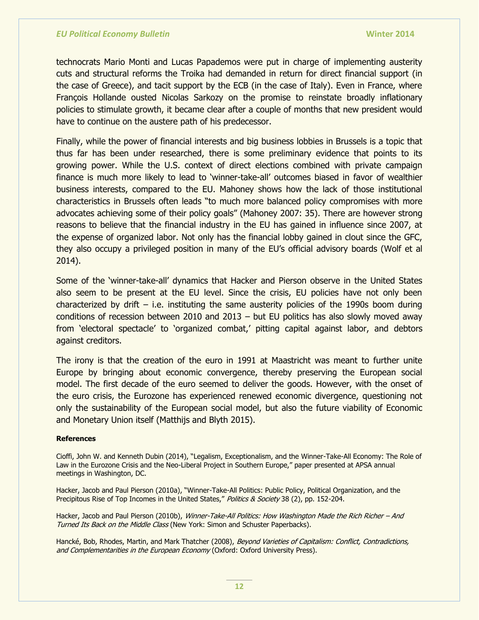technocrats Mario Monti and Lucas Papademos were put in charge of implementing austerity cuts and structural reforms the Troika had demanded in return for direct financial support (in the case of Greece), and tacit support by the ECB (in the case of Italy). Even in France, where François Hollande ousted Nicolas Sarkozy on the promise to reinstate broadly inflationary policies to stimulate growth, it became clear after a couple of months that new president would have to continue on the austere path of his predecessor.

Finally, while the power of financial interests and big business lobbies in Brussels is a topic that thus far has been under researched, there is some preliminary evidence that points to its growing power. While the U.S. context of direct elections combined with private campaign finance is much more likely to lead to 'winner-take-all' outcomes biased in favor of wealthier business interests, compared to the EU. Mahoney shows how the lack of those institutional characteristics in Brussels often leads "to much more balanced policy compromises with more advocates achieving some of their policy goals" (Mahoney 2007: 35). There are however strong reasons to believe that the financial industry in the EU has gained in influence since 2007, at the expense of organized labor. Not only has the financial lobby gained in clout since the GFC, they also occupy a privileged position in many of the EU's official advisory boards (Wolf et al 2014).

Some of the 'winner-take-all' dynamics that Hacker and Pierson observe in the United States also seem to be present at the EU level. Since the crisis, EU policies have not only been characterized by drift – i.e. instituting the same austerity policies of the 1990s boom during conditions of recession between 2010 and 2013 – but EU politics has also slowly moved away from 'electoral spectacle' to 'organized combat,' pitting capital against labor, and debtors against creditors.

The irony is that the creation of the euro in 1991 at Maastricht was meant to further unite Europe by bringing about economic convergence, thereby preserving the European social model. The first decade of the euro seemed to deliver the goods. However, with the onset of the euro crisis, the Eurozone has experienced renewed economic divergence, questioning not only the sustainability of the European social model, but also the future viability of Economic and Monetary Union itself (Matthijs and Blyth 2015).

#### **References**

Cioffi, John W. and Kenneth Dubin (2014), "Legalism, Exceptionalism, and the Winner-Take-All Economy: The Role of Law in the Eurozone Crisis and the Neo-Liberal Project in Southern Europe," paper presented at APSA annual meetings in Washington, DC.

Hacker, Jacob and Paul Pierson (2010a), "Winner-Take-All Politics: Public Policy, Political Organization, and the Precipitous Rise of Top Incomes in the United States," Politics & Society 38 (2), pp. 152-204.

Hacker, Jacob and Paul Pierson (2010b), Winner-Take-All Politics: How Washington Made the Rich Richer - And Turned Its Back on the Middle Class (New York: Simon and Schuster Paperbacks).

Hancké, Bob, Rhodes, Martin, and Mark Thatcher (2008), Beyond Varieties of Capitalism: Conflict, Contradictions, and Complementarities in the European Economy (Oxford: Oxford University Press).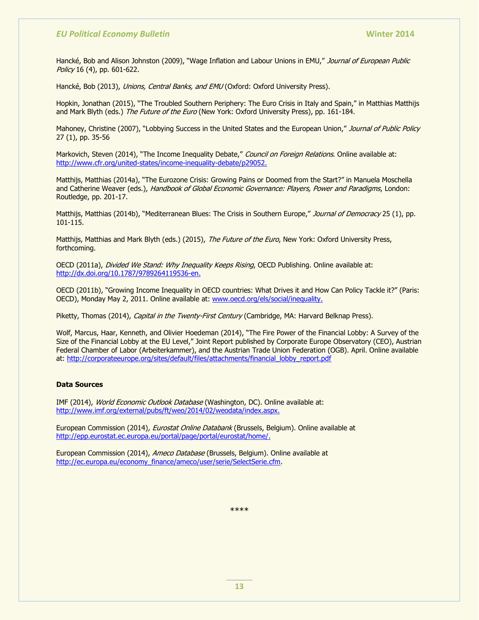Hancké, Bob and Alison Johnston (2009), "Wage Inflation and Labour Unions in EMU," Journal of European Public Policy 16 (4), pp. 601-622.

Hancké, Bob (2013), Unions, Central Banks, and EMU (Oxford: Oxford University Press).

Hopkin, Jonathan (2015), "The Troubled Southern Periphery: The Euro Crisis in Italy and Spain," in Matthias Matthijs and Mark Blyth (eds.) The Future of the Euro (New York: Oxford University Press), pp. 161-184.

Mahoney, Christine (2007), "Lobbying Success in the United States and the European Union," Journal of Public Policy 27 (1), pp. 35-56

Markovich, Steven (2014), "The Income Inequality Debate," Council on Foreign Relations. Online available at: [http://www.cfr.org/united-states/income-inequality-debate/p29052.](http://www.cfr.org/united-states/income-inequality-debate/p29052)

Matthijs, Matthias (2014a), "The Eurozone Crisis: Growing Pains or Doomed from the Start?" in Manuela Moschella and Catherine Weaver (eds.), Handbook of Global Economic Governance: Players, Power and Paradigms, London: Routledge, pp. 201-17.

Matthijs, Matthias (2014b), "Mediterranean Blues: The Crisis in Southern Europe," Journal of Democracy 25 (1), pp. 101-115.

Matthijs, Matthias and Mark Blyth (eds.) (2015), The Future of the Euro, New York: Oxford University Press, forthcoming.

OECD (2011a), Divided We Stand: Why Inequality Keeps Rising, OECD Publishing. Online available at: [http://dx.doi.org/10.1787/9789264119536-en.](http://dx.doi.org/10.1787/9789264119536-en)

OECD (2011b), "Growing Income Inequality in OECD countries: What Drives it and How Can Policy Tackle it?" (Paris: OECD), Monday May 2, 2011. Online available at: [www.oecd.org/els/social/inequality.](http://www.oecd.org/els/social/inequality)

Piketty, Thomas (2014), Capital in the Twenty-First Century (Cambridge, MA: Harvard Belknap Press).

Wolf, Marcus, Haar, Kenneth, and Olivier Hoedeman (2014), "The Fire Power of the Financial Lobby: A Survey of the Size of the Financial Lobby at the EU Level," Joint Report published by Corporate Europe Observatory (CEO), Austrian Federal Chamber of Labor (Arbeiterkammer), and the Austrian Trade Union Federation (OGB). April. Online available at: [http://corporateeurope.org/sites/default/files/attachments/financial\\_lobby\\_report.pdf](http://corporateeurope.org/sites/default/files/attachments/financial_lobby_report.pdf)

#### **Data Sources**

IMF (2014), World Economic Outlook Database (Washington, DC). Online available at: [http://www.imf.org/external/pubs/ft/weo/2014/02/weodata/index.aspx.](http://www.imf.org/external/pubs/ft/weo/2014/02/weodata/index.aspx)

European Commission (2014), Eurostat Online Databank (Brussels, Belgium). Online available at [http://epp.eurostat.ec.europa.eu/portal/page/portal/eurostat/home/.](http://epp.eurostat.ec.europa.eu/portal/page/portal/eurostat/home/)

European Commission (2014), Ameco Database (Brussels, Belgium). Online available at [http://ec.europa.eu/economy\\_finance/ameco/user/serie/SelectSerie.cfm.](http://ec.europa.eu/economy_finance/ameco/user/serie/SelectSerie.cfm)

\*\*\*\*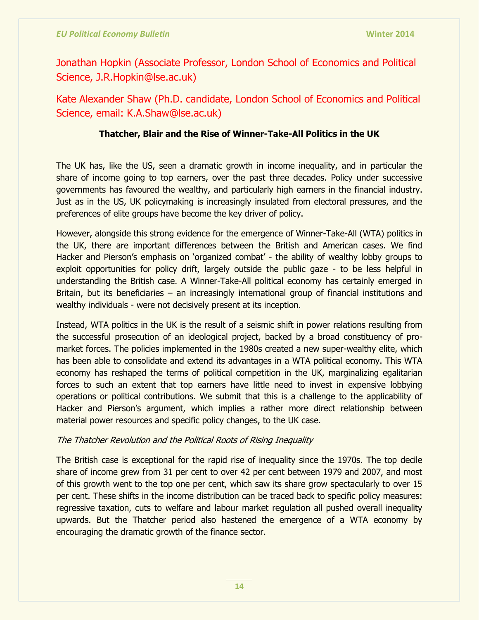Jonathan Hopkin (Associate Professor, London School of Economics and Political Science, J.R.Hopkin@lse.ac.uk)

Kate Alexander Shaw (Ph.D. candidate, London School of Economics and Political Science, email: K.A.Shaw@lse.ac.uk)

## **Thatcher, Blair and the Rise of Winner-Take-All Politics in the UK**

The UK has, like the US, seen a dramatic growth in income inequality, and in particular the share of income going to top earners, over the past three decades. Policy under successive governments has favoured the wealthy, and particularly high earners in the financial industry. Just as in the US, UK policymaking is increasingly insulated from electoral pressures, and the preferences of elite groups have become the key driver of policy.

However, alongside this strong evidence for the emergence of Winner-Take-All (WTA) politics in the UK, there are important differences between the British and American cases. We find Hacker and Pierson's emphasis on 'organized combat' - the ability of wealthy lobby groups to exploit opportunities for policy drift, largely outside the public gaze - to be less helpful in understanding the British case. A Winner-Take-All political economy has certainly emerged in Britain, but its beneficiaries – an increasingly international group of financial institutions and wealthy individuals - were not decisively present at its inception.

Instead, WTA politics in the UK is the result of a seismic shift in power relations resulting from the successful prosecution of an ideological project, backed by a broad constituency of promarket forces. The policies implemented in the 1980s created a new super-wealthy elite, which has been able to consolidate and extend its advantages in a WTA political economy. This WTA economy has reshaped the terms of political competition in the UK, marginalizing egalitarian forces to such an extent that top earners have little need to invest in expensive lobbying operations or political contributions. We submit that this is a challenge to the applicability of Hacker and Pierson's argument, which implies a rather more direct relationship between material power resources and specific policy changes, to the UK case.

## The Thatcher Revolution and the Political Roots of Rising Inequality

The British case is exceptional for the rapid rise of inequality since the 1970s. The top decile share of income grew from 31 per cent to over 42 per cent between 1979 and 2007, and most of this growth went to the top one per cent, which saw its share grow spectacularly to over 15 per cent. These shifts in the income distribution can be traced back to specific policy measures: regressive taxation, cuts to welfare and labour market regulation all pushed overall inequality upwards. But the Thatcher period also hastened the emergence of a WTA economy by encouraging the dramatic growth of the finance sector.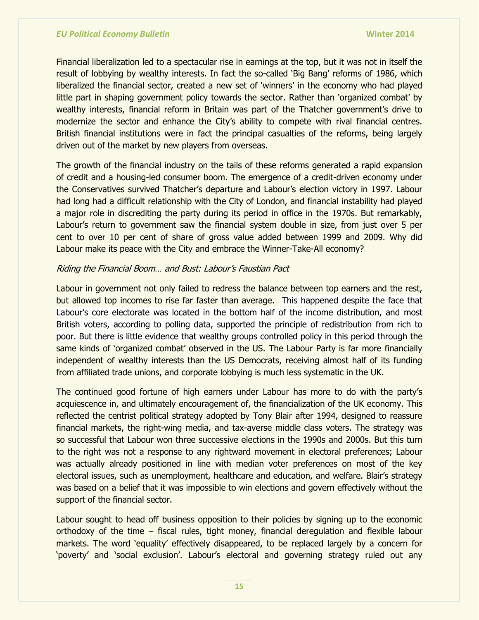Financial liberalization led to a spectacular rise in earnings at the top, but it was not in itself the result of lobbying by wealthy interests. In fact the so-called 'Big Bang' reforms of 1986, which liberalized the financial sector, created a new set of 'winners' in the economy who had played little part in shaping government policy towards the sector. Rather than 'organized combat' by wealthy interests, financial reform in Britain was part of the Thatcher government's drive to modernize the sector and enhance the City's ability to compete with rival financial centres. British financial institutions were in fact the principal casualties of the reforms, being largely driven out of the market by new players from overseas.

The growth of the financial industry on the tails of these reforms generated a rapid expansion of credit and a housing-led consumer boom. The emergence of a credit-driven economy under the Conservatives survived Thatcher's departure and Labour's election victory in 1997. Labour had long had a difficult relationship with the City of London, and financial instability had played a major role in discrediting the party during its period in office in the 1970s. But remarkably, Labour's return to government saw the financial system double in size, from just over 5 per cent to over 10 per cent of share of gross value added between 1999 and 2009. Why did Labour make its peace with the City and embrace the Winner-Take-All economy?

## Riding the Financial Boom… and Bust: Labour's Faustian Pact

Labour in government not only failed to redress the balance between top earners and the rest, but allowed top incomes to rise far faster than average. This happened despite the face that Labour's core electorate was located in the bottom half of the income distribution, and most British voters, according to polling data, supported the principle of redistribution from rich to poor. But there is little evidence that wealthy groups controlled policy in this period through the same kinds of 'organized combat' observed in the US. The Labour Party is far more financially independent of wealthy interests than the US Democrats, receiving almost half of its funding from affiliated trade unions, and corporate lobbying is much less systematic in the UK.

The continued good fortune of high earners under Labour has more to do with the party's acquiescence in, and ultimately encouragement of, the financialization of the UK economy. This reflected the centrist political strategy adopted by Tony Blair after 1994, designed to reassure financial markets, the right-wing media, and tax-averse middle class voters. The strategy was so successful that Labour won three successive elections in the 1990s and 2000s. But this turn to the right was not a response to any rightward movement in electoral preferences; Labour was actually already positioned in line with median voter preferences on most of the key electoral issues, such as unemployment, healthcare and education, and welfare. Blair's strategy was based on a belief that it was impossible to win elections and govern effectively without the support of the financial sector.

Labour sought to head off business opposition to their policies by signing up to the economic orthodoxy of the time – fiscal rules, tight money, financial deregulation and flexible labour markets. The word 'equality' effectively disappeared, to be replaced largely by a concern for 'poverty' and 'social exclusion'. Labour's electoral and governing strategy ruled out any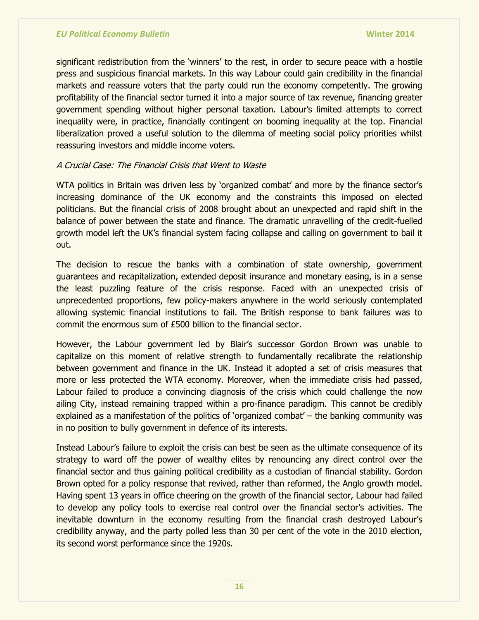significant redistribution from the 'winners' to the rest, in order to secure peace with a hostile press and suspicious financial markets. In this way Labour could gain credibility in the financial markets and reassure voters that the party could run the economy competently. The growing profitability of the financial sector turned it into a major source of tax revenue, financing greater government spending without higher personal taxation. Labour's limited attempts to correct inequality were, in practice, financially contingent on booming inequality at the top. Financial liberalization proved a useful solution to the dilemma of meeting social policy priorities whilst reassuring investors and middle income voters.

## A Crucial Case: The Financial Crisis that Went to Waste

WTA politics in Britain was driven less by 'organized combat' and more by the finance sector's increasing dominance of the UK economy and the constraints this imposed on elected politicians. But the financial crisis of 2008 brought about an unexpected and rapid shift in the balance of power between the state and finance. The dramatic unravelling of the credit-fuelled growth model left the UK's financial system facing collapse and calling on government to bail it out.

The decision to rescue the banks with a combination of state ownership, government guarantees and recapitalization, extended deposit insurance and monetary easing, is in a sense the least puzzling feature of the crisis response. Faced with an unexpected crisis of unprecedented proportions, few policy-makers anywhere in the world seriously contemplated allowing systemic financial institutions to fail. The British response to bank failures was to commit the enormous sum of £500 billion to the financial sector.

However, the Labour government led by Blair's successor Gordon Brown was unable to capitalize on this moment of relative strength to fundamentally recalibrate the relationship between government and finance in the UK. Instead it adopted a set of crisis measures that more or less protected the WTA economy. Moreover, when the immediate crisis had passed, Labour failed to produce a convincing diagnosis of the crisis which could challenge the now ailing City, instead remaining trapped within a pro-finance paradigm. This cannot be credibly explained as a manifestation of the politics of 'organized combat'  $-$  the banking community was in no position to bully government in defence of its interests.

Instead Labour's failure to exploit the crisis can best be seen as the ultimate consequence of its strategy to ward off the power of wealthy elites by renouncing any direct control over the financial sector and thus gaining political credibility as a custodian of financial stability. Gordon Brown opted for a policy response that revived, rather than reformed, the Anglo growth model. Having spent 13 years in office cheering on the growth of the financial sector, Labour had failed to develop any policy tools to exercise real control over the financial sector's activities. The inevitable downturn in the economy resulting from the financial crash destroyed Labour's credibility anyway, and the party polled less than 30 per cent of the vote in the 2010 election, its second worst performance since the 1920s.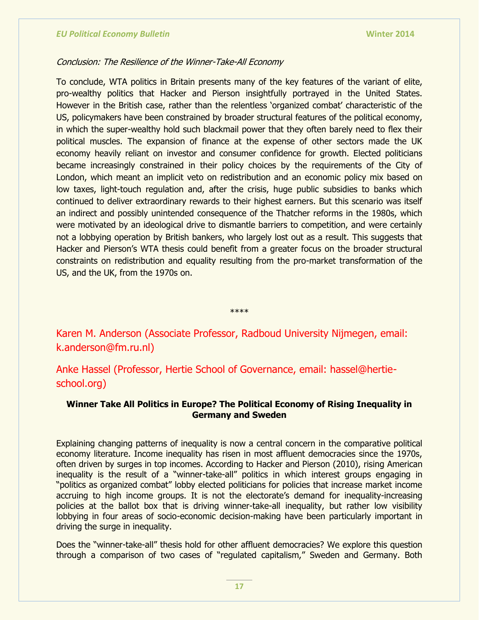#### Conclusion: The Resilience of the Winner-Take-All Economy

To conclude, WTA politics in Britain presents many of the key features of the variant of elite, pro-wealthy politics that Hacker and Pierson insightfully portrayed in the United States. However in the British case, rather than the relentless 'organized combat' characteristic of the US, policymakers have been constrained by broader structural features of the political economy, in which the super-wealthy hold such blackmail power that they often barely need to flex their political muscles. The expansion of finance at the expense of other sectors made the UK economy heavily reliant on investor and consumer confidence for growth. Elected politicians became increasingly constrained in their policy choices by the requirements of the City of London, which meant an implicit veto on redistribution and an economic policy mix based on low taxes, light-touch regulation and, after the crisis, huge public subsidies to banks which continued to deliver extraordinary rewards to their highest earners. But this scenario was itself an indirect and possibly unintended consequence of the Thatcher reforms in the 1980s, which were motivated by an ideological drive to dismantle barriers to competition, and were certainly not a lobbying operation by British bankers, who largely lost out as a result. This suggests that Hacker and Pierson's WTA thesis could benefit from a greater focus on the broader structural constraints on redistribution and equality resulting from the pro-market transformation of the US, and the UK, from the 1970s on.

\*\*\*\*

Karen M. Anderson (Associate Professor, Radboud University Nijmegen, email: k.anderson@fm.ru.nl)

Anke Hassel (Professor, Hertie School of Governance, email: hassel@hertieschool.org)

### **Winner Take All Politics in Europe? The Political Economy of Rising Inequality in Germany and Sweden**

Explaining changing patterns of inequality is now a central concern in the comparative political economy literature. Income inequality has risen in most affluent democracies since the 1970s, often driven by surges in top incomes. According to Hacker and Pierson (2010), rising American inequality is the result of a "winner-take-all" politics in which interest groups engaging in "politics as organized combat" lobby elected politicians for policies that increase market income accruing to high income groups. It is not the electorate's demand for inequality-increasing policies at the ballot box that is driving winner-take-all inequality, but rather low visibility lobbying in four areas of socio-economic decision-making have been particularly important in driving the surge in inequality.

Does the "winner-take-all" thesis hold for other affluent democracies? We explore this question through a comparison of two cases of "regulated capitalism," Sweden and Germany. Both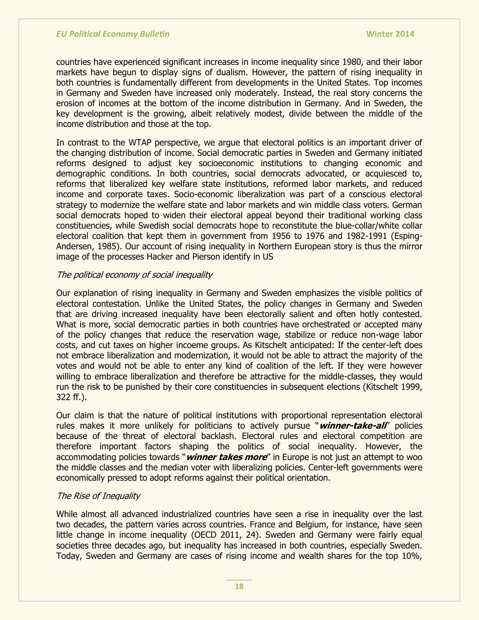countries have experienced significant increases in income inequality since 1980, and their labor markets have begun to display signs of dualism. However, the pattern of rising inequality in both countries is fundamentally different from developments in the United States. Top incomes in Germany and Sweden have increased only moderately. Instead, the real story concerns the erosion of incomes at the bottom of the income distribution in Germany. And in Sweden, the key development is the growing, albeit relatively modest, divide between the middle of the income distribution and those at the top.

In contrast to the WTAP perspective, we argue that electoral politics is an important driver of the changing distribution of income. Social democratic parties in Sweden and Germany initiated reforms designed to adjust key socioeconomic institutions to changing economic and demographic conditions. In both countries, social democrats advocated, or acquiesced to, reforms that liberalized key welfare state institutions, reformed labor markets, and reduced income and corporate taxes. Socio-economic liberalization was part of a conscious electoral strategy to modernize the welfare state and labor markets and win middle class voters. German social democrats hoped to widen their electoral appeal beyond their traditional working class constituencies, while Swedish social democrats hope to reconstitute the blue-collar/white collar electoral coalition that kept them in government from 1956 to 1976 and 1982-1991 (Esping-Andersen, 1985). Our account of rising inequality in Northern European story is thus the mirror image of the processes Hacker and Pierson identify in US

#### The political economy of social inequality

Our explanation of rising inequality in Germany and Sweden emphasizes the visible politics of electoral contestation. Unlike the United States, the policy changes in Germany and Sweden that are driving increased inequality have been electorally salient and often hotly contested. What is more, social democratic parties in both countries have orchestrated or accepted many of the policy changes that reduce the reservation wage, stabilize or reduce non-wage labor costs, and cut taxes on higher incoeme groups. As Kitschelt anticipated: If the center-left does not embrace liberalization and modernization, it would not be able to attract the majority of the votes and would not be able to enter any kind of coalition of the left. If they were however willing to embrace liberalization and therefore be attractive for the middle-classes, they would run the risk to be punished by their core constituencies in subsequent elections (Kitschelt 1999, 322 ff.).

Our claim is that the nature of political institutions with proportional representation electoral rules makes it more unlikely for politicians to actively pursue "winner-take-all" policies because of the threat of electoral backlash. Electoral rules and electoral competition are therefore important factors shaping the politics of social inequality. However, the accommodating policies towards "*winner takes more*" in Europe is not just an attempt to woo the middle classes and the median voter with liberalizing policies. Center-left governments were economically pressed to adopt reforms against their political orientation.

#### The Rise of Inequality

While almost all advanced industrialized countries have seen a rise in inequality over the last two decades, the pattern varies across countries. France and Belgium, for instance, have seen little change in income inequality (OECD 2011, 24). Sweden and Germany were fairly equal societies three decades ago, but inequality has increased in both countries, especially Sweden. Today, Sweden and Germany are cases of rising income and wealth shares for the top 10%,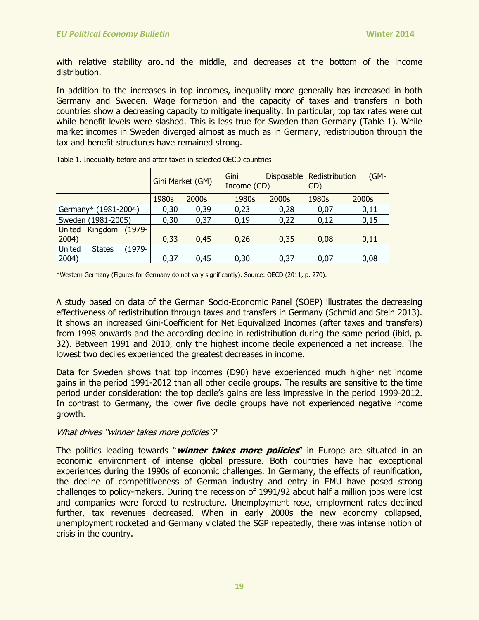with relative stability around the middle, and decreases at the bottom of the income distribution.

In addition to the increases in top incomes, inequality more generally has increased in both Germany and Sweden. Wage formation and the capacity of taxes and transfers in both countries show a decreasing capacity to mitigate inequality. In particular, top tax rates were cut while benefit levels were slashed. This is less true for Sweden than Germany (Table 1). While market incomes in Sweden diverged almost as much as in Germany, redistribution through the tax and benefit structures have remained strong.

|                                       | Gini Market (GM) |       | Gini<br>Income (GD) |       | $(GM -$<br>Disposable   Redistribution<br>GD) |       |
|---------------------------------------|------------------|-------|---------------------|-------|-----------------------------------------------|-------|
|                                       | 1980s            | 2000s | 1980s               | 2000s | 1980s                                         | 2000s |
| Germany* (1981-2004)                  | 0,30             | 0,39  | 0,23                | 0,28  | 0,07                                          | 0,11  |
| Sweden (1981-2005)                    | 0,30             | 0,37  | 0,19                | 0,22  | 0,12                                          | 0,15  |
| <b>United</b><br>Kingdom<br>$(1979 -$ |                  |       |                     |       |                                               |       |
| 2004)                                 | 0,33             | 0,45  | 0,26                | 0,35  | 0,08                                          | 0,11  |
| United<br>$(1979 -$<br><b>States</b>  |                  |       |                     |       |                                               |       |
| 2004)                                 | 0,37             | 0,45  | 0,30                | 0,37  | 0,07                                          | 0,08  |

Table 1. Inequality before and after taxes in selected OECD countries

\*Western Germany (Figures for Germany do not vary significantly). Source: OECD (2011, p. 270).

A study based on data of the German Socio-Economic Panel (SOEP) illustrates the decreasing effectiveness of redistribution through taxes and transfers in Germany (Schmid and Stein 2013). It shows an increased Gini-Coefficient for Net Equivalized Incomes (after taxes and transfers) from 1998 onwards and the according decline in redistribution during the same period (ibid, p. 32). Between 1991 and 2010, only the highest income decile experienced a net increase. The lowest two deciles experienced the greatest decreases in income.

Data for Sweden shows that top incomes (D90) have experienced much higher net income gains in the period 1991-2012 than all other decile groups. The results are sensitive to the time period under consideration: the top decile's gains are less impressive in the period 1999-2012. In contrast to Germany, the lower five decile groups have not experienced negative income growth.

#### What drives "winner takes more policies"?

The politics leading towards "*winner takes more policies*" in Europe are situated in an economic environment of intense global pressure. Both countries have had exceptional experiences during the 1990s of economic challenges. In Germany, the effects of reunification, the decline of competitiveness of German industry and entry in EMU have posed strong challenges to policy-makers. During the recession of 1991/92 about half a million jobs were lost and companies were forced to restructure. Unemployment rose, employment rates declined further, tax revenues decreased. When in early 2000s the new economy collapsed, unemployment rocketed and Germany violated the SGP repeatedly, there was intense notion of crisis in the country.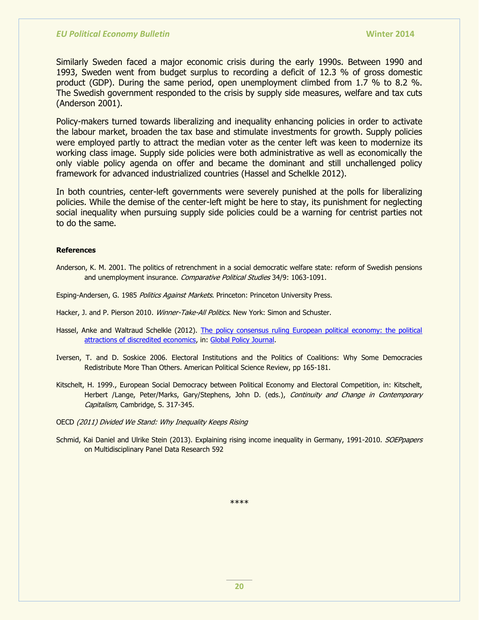Similarly Sweden faced a major economic crisis during the early 1990s. Between 1990 and 1993, Sweden went from budget surplus to recording a deficit of 12.3 % of gross domestic product (GDP). During the same period, open unemployment climbed from 1.7 % to 8.2 %. The Swedish government responded to the crisis by supply side measures, welfare and tax cuts (Anderson 2001).

Policy-makers turned towards liberalizing and inequality enhancing policies in order to activate the labour market, broaden the tax base and stimulate investments for growth. Supply policies were employed partly to attract the median voter as the center left was keen to modernize its working class image. Supply side policies were both administrative as well as economically the only viable policy agenda on offer and became the dominant and still unchallenged policy framework for advanced industrialized countries (Hassel and Schelkle 2012).

In both countries, center-left governments were severely punished at the polls for liberalizing policies. While the demise of the center-left might be here to stay, its punishment for neglecting social inequality when pursuing supply side policies could be a warning for centrist parties not to do the same.

#### **References**

Anderson, K. M. 2001. The politics of retrenchment in a social democratic welfare state: reform of Swedish pensions and unemployment insurance. Comparative Political Studies 34/9: 1063-1091.

Esping-Andersen, G. 1985 Politics Against Markets. Princeton: Princeton University Press.

- Hacker, J. and P. Pierson 2010. Winner-Take-All Politics. New York: Simon and Schuster.
- Hassel, Anke and Waltraud Schelkle (2012). [The policy consensus ruling European political economy: the political](http://papers.ssrn.com/sol3/papers.cfm?abstract_id=2018889)  [attractions of discredited economics,](http://papers.ssrn.com/sol3/papers.cfm?abstract_id=2018889) in: [Global Policy Journal.](http://www.globalpolicyjournal.com/)
- Iversen, T. and D. Soskice 2006. Electoral Institutions and the Politics of Coalitions: Why Some Democracies Redistribute More Than Others. American Political Science Review, pp 165-181.
- Kitschelt, H. 1999., European Social Democracy between Political Economy and Electoral Competition, in: Kitschelt, Herbert /Lange, Peter/Marks, Gary/Stephens, John D. (eds.), Continuity and Change in Contemporary Capitalism, Cambridge, S. 317-345.

OECD (2011) Divided We Stand: Why Inequality Keeps Rising

Schmid, Kai Daniel and Ulrike Stein (2013). Explaining rising income inequality in Germany, 1991-2010. SOEPpapers on Multidisciplinary Panel Data Research 592

\*\*\*\*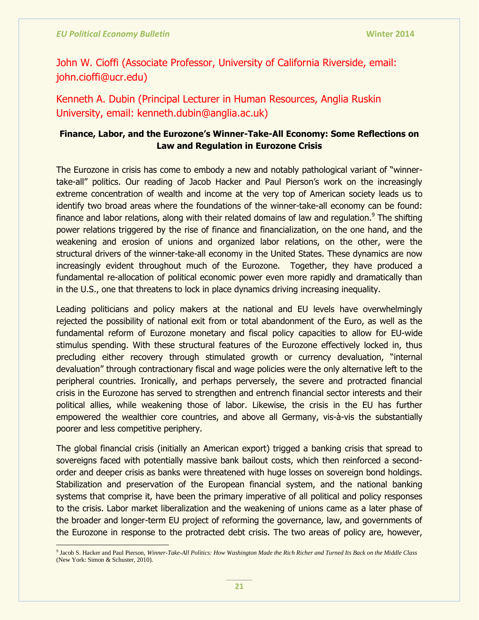John W. Cioffi (Associate Professor, University of California Riverside, email: john.cioffi@ucr.edu)

Kenneth A. Dubin (Principal Lecturer in Human Resources, Anglia Ruskin University, email: kenneth.dubin@anglia.ac.uk)

## **Finance, Labor, and the Eurozone"s Winner-Take-All Economy: Some Reflections on Law and Regulation in Eurozone Crisis**

The Eurozone in crisis has come to embody a new and notably pathological variant of "winnertake-all" politics. Our reading of Jacob Hacker and Paul Pierson's work on the increasingly extreme concentration of wealth and income at the very top of American society leads us to identify two broad areas where the foundations of the winner-take-all economy can be found: finance and labor relations, along with their related domains of law and regulation.<sup>9</sup> The shifting power relations triggered by the rise of finance and financialization, on the one hand, and the weakening and erosion of unions and organized labor relations, on the other, were the structural drivers of the winner-take-all economy in the United States. These dynamics are now increasingly evident throughout much of the Eurozone. Together, they have produced a fundamental re-allocation of political economic power even more rapidly and dramatically than in the U.S., one that threatens to lock in place dynamics driving increasing inequality.

Leading politicians and policy makers at the national and EU levels have overwhelmingly rejected the possibility of national exit from or total abandonment of the Euro, as well as the fundamental reform of Eurozone monetary and fiscal policy capacities to allow for EU-wide stimulus spending. With these structural features of the Eurozone effectively locked in, thus precluding either recovery through stimulated growth or currency devaluation, "internal devaluation" through contractionary fiscal and wage policies were the only alternative left to the peripheral countries. Ironically, and perhaps perversely, the severe and protracted financial crisis in the Eurozone has served to strengthen and entrench financial sector interests and their political allies, while weakening those of labor. Likewise, the crisis in the EU has further empowered the wealthier core countries, and above all Germany, vis-à-vis the substantially poorer and less competitive periphery.

The global financial crisis (initially an American export) trigged a banking crisis that spread to sovereigns faced with potentially massive bank bailout costs, which then reinforced a secondorder and deeper crisis as banks were threatened with huge losses on sovereign bond holdings. Stabilization and preservation of the European financial system, and the national banking systems that comprise it, have been the primary imperative of all political and policy responses to the crisis. Labor market liberalization and the weakening of unions came as a later phase of the broader and longer-term EU project of reforming the governance, law, and governments of the Eurozone in response to the protracted debt crisis. The two areas of policy are, however,

<sup>9</sup> Jacob S. Hacker and Paul Pierson, *Winner-Take-All Politics: How Washington Made the Rich Richer and Turned Its Back on the Middle Class* (New York: Simon & Schuster, 2010).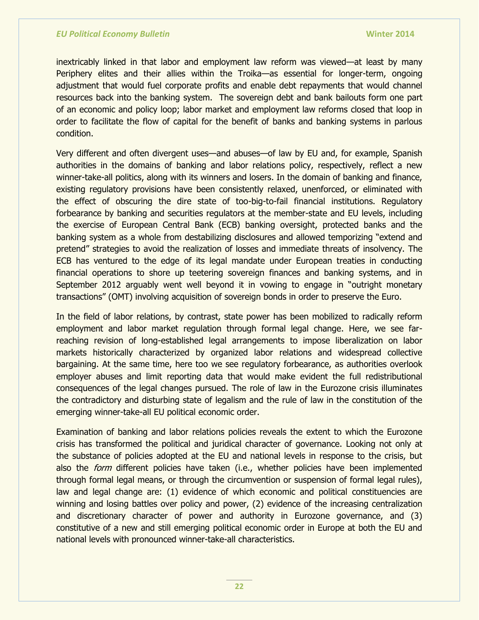inextricably linked in that labor and employment law reform was viewed—at least by many Periphery elites and their allies within the Troika—as essential for longer-term, ongoing adjustment that would fuel corporate profits and enable debt repayments that would channel resources back into the banking system. The sovereign debt and bank bailouts form one part of an economic and policy loop; labor market and employment law reforms closed that loop in order to facilitate the flow of capital for the benefit of banks and banking systems in parlous condition.

Very different and often divergent uses—and abuses—of law by EU and, for example, Spanish authorities in the domains of banking and labor relations policy, respectively, reflect a new winner-take-all politics, along with its winners and losers. In the domain of banking and finance, existing regulatory provisions have been consistently relaxed, unenforced, or eliminated with the effect of obscuring the dire state of too-big-to-fail financial institutions. Regulatory forbearance by banking and securities regulators at the member-state and EU levels, including the exercise of European Central Bank (ECB) banking oversight, protected banks and the banking system as a whole from destabilizing disclosures and allowed temporizing "extend and pretend" strategies to avoid the realization of losses and immediate threats of insolvency. The ECB has ventured to the edge of its legal mandate under European treaties in conducting financial operations to shore up teetering sovereign finances and banking systems, and in September 2012 arguably went well beyond it in vowing to engage in "outright monetary transactions" (OMT) involving acquisition of sovereign bonds in order to preserve the Euro.

In the field of labor relations, by contrast, state power has been mobilized to radically reform employment and labor market regulation through formal legal change. Here, we see farreaching revision of long-established legal arrangements to impose liberalization on labor markets historically characterized by organized labor relations and widespread collective bargaining. At the same time, here too we see regulatory forbearance, as authorities overlook employer abuses and limit reporting data that would make evident the full redistributional consequences of the legal changes pursued. The role of law in the Eurozone crisis illuminates the contradictory and disturbing state of legalism and the rule of law in the constitution of the emerging winner-take-all EU political economic order.

Examination of banking and labor relations policies reveals the extent to which the Eurozone crisis has transformed the political and juridical character of governance. Looking not only at the substance of policies adopted at the EU and national levels in response to the crisis, but also the *form* different policies have taken (i.e., whether policies have been implemented through formal legal means, or through the circumvention or suspension of formal legal rules), law and legal change are: (1) evidence of which economic and political constituencies are winning and losing battles over policy and power, (2) evidence of the increasing centralization and discretionary character of power and authority in Eurozone governance, and (3) constitutive of a new and still emerging political economic order in Europe at both the EU and national levels with pronounced winner-take-all characteristics.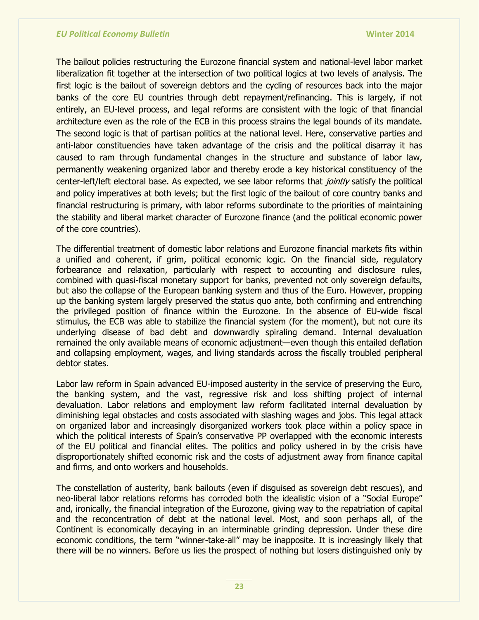The bailout policies restructuring the Eurozone financial system and national-level labor market liberalization fit together at the intersection of two political logics at two levels of analysis. The first logic is the bailout of sovereign debtors and the cycling of resources back into the major banks of the core EU countries through debt repayment/refinancing. This is largely, if not entirely, an EU-level process, and legal reforms are consistent with the logic of that financial architecture even as the role of the ECB in this process strains the legal bounds of its mandate. The second logic is that of partisan politics at the national level. Here, conservative parties and anti-labor constituencies have taken advantage of the crisis and the political disarray it has caused to ram through fundamental changes in the structure and substance of labor law, permanently weakening organized labor and thereby erode a key historical constituency of the center-left/left electoral base. As expected, we see labor reforms that jointly satisfy the political and policy imperatives at both levels; but the first logic of the bailout of core country banks and financial restructuring is primary, with labor reforms subordinate to the priorities of maintaining the stability and liberal market character of Eurozone finance (and the political economic power of the core countries).

The differential treatment of domestic labor relations and Eurozone financial markets fits within a unified and coherent, if grim, political economic logic. On the financial side, regulatory forbearance and relaxation, particularly with respect to accounting and disclosure rules, combined with quasi-fiscal monetary support for banks, prevented not only sovereign defaults, but also the collapse of the European banking system and thus of the Euro. However, propping up the banking system largely preserved the status quo ante, both confirming and entrenching the privileged position of finance within the Eurozone. In the absence of EU-wide fiscal stimulus, the ECB was able to stabilize the financial system (for the moment), but not cure its underlying disease of bad debt and downwardly spiraling demand. Internal devaluation remained the only available means of economic adjustment—even though this entailed deflation and collapsing employment, wages, and living standards across the fiscally troubled peripheral debtor states.

Labor law reform in Spain advanced EU-imposed austerity in the service of preserving the Euro, the banking system, and the vast, regressive risk and loss shifting project of internal devaluation. Labor relations and employment law reform facilitated internal devaluation by diminishing legal obstacles and costs associated with slashing wages and jobs. This legal attack on organized labor and increasingly disorganized workers took place within a policy space in which the political interests of Spain's conservative PP overlapped with the economic interests of the EU political and financial elites. The politics and policy ushered in by the crisis have disproportionately shifted economic risk and the costs of adjustment away from finance capital and firms, and onto workers and households.

The constellation of austerity, bank bailouts (even if disguised as sovereign debt rescues), and neo-liberal labor relations reforms has corroded both the idealistic vision of a "Social Europe" and, ironically, the financial integration of the Eurozone, giving way to the repatriation of capital and the reconcentration of debt at the national level. Most, and soon perhaps all, of the Continent is economically decaying in an interminable grinding depression. Under these dire economic conditions, the term "winner-take-all" may be inapposite. It is increasingly likely that there will be no winners. Before us lies the prospect of nothing but losers distinguished only by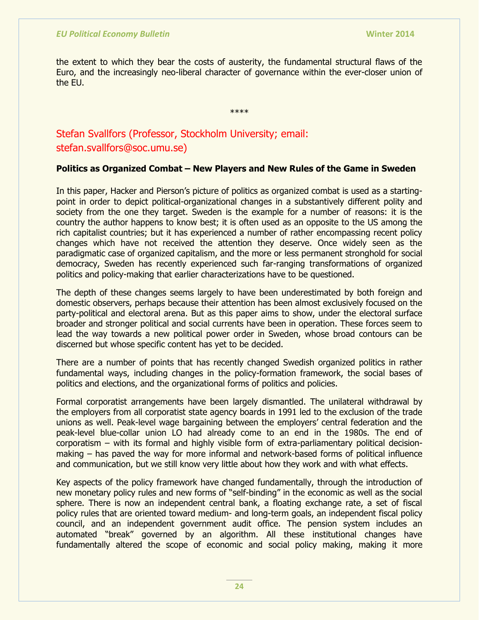the extent to which they bear the costs of austerity, the fundamental structural flaws of the Euro, and the increasingly neo-liberal character of governance within the ever-closer union of the EU.

\*\*\*\*

Stefan Svallfors (Professor, Stockholm University; email: stefan.svallfors@soc.umu.se)

## **Politics as Organized Combat – New Players and New Rules of the Game in Sweden**

In this paper, Hacker and Pierson's picture of politics as organized combat is used as a startingpoint in order to depict political-organizational changes in a substantively different polity and society from the one they target. Sweden is the example for a number of reasons: it is the country the author happens to know best; it is often used as an opposite to the US among the rich capitalist countries; but it has experienced a number of rather encompassing recent policy changes which have not received the attention they deserve. Once widely seen as the paradigmatic case of organized capitalism, and the more or less permanent stronghold for social democracy, Sweden has recently experienced such far-ranging transformations of organized politics and policy-making that earlier characterizations have to be questioned.

The depth of these changes seems largely to have been underestimated by both foreign and domestic observers, perhaps because their attention has been almost exclusively focused on the party-political and electoral arena. But as this paper aims to show, under the electoral surface broader and stronger political and social currents have been in operation. These forces seem to lead the way towards a new political power order in Sweden, whose broad contours can be discerned but whose specific content has yet to be decided.

There are a number of points that has recently changed Swedish organized politics in rather fundamental ways, including changes in the policy-formation framework, the social bases of politics and elections, and the organizational forms of politics and policies.

Formal corporatist arrangements have been largely dismantled. The unilateral withdrawal by the employers from all corporatist state agency boards in 1991 led to the exclusion of the trade unions as well. Peak-level wage bargaining between the employers' central federation and the peak-level blue-collar union LO had already come to an end in the 1980s. The end of corporatism – with its formal and highly visible form of extra-parliamentary political decisionmaking – has paved the way for more informal and network-based forms of political influence and communication, but we still know very little about how they work and with what effects.

Key aspects of the policy framework have changed fundamentally, through the introduction of new monetary policy rules and new forms of "self-binding" in the economic as well as the social sphere. There is now an independent central bank, a floating exchange rate, a set of fiscal policy rules that are oriented toward medium- and long-term goals, an independent fiscal policy council, and an independent government audit office. The pension system includes an automated "break" governed by an algorithm. All these institutional changes have fundamentally altered the scope of economic and social policy making, making it more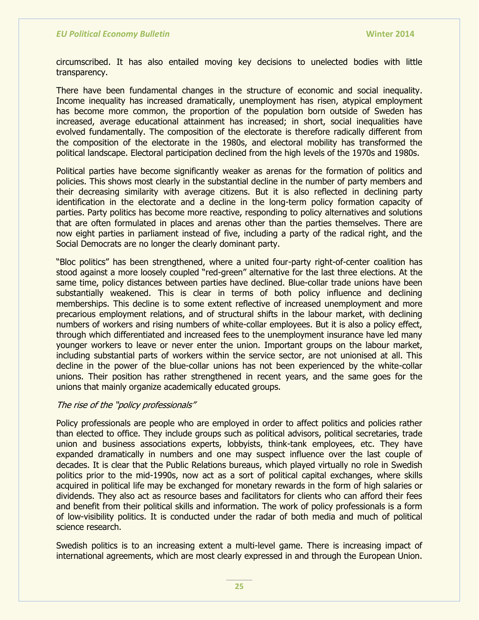circumscribed. It has also entailed moving key decisions to unelected bodies with little transparency.

There have been fundamental changes in the structure of economic and social inequality. Income inequality has increased dramatically, unemployment has risen, atypical employment has become more common, the proportion of the population born outside of Sweden has increased, average educational attainment has increased; in short, social inequalities have evolved fundamentally. The composition of the electorate is therefore radically different from the composition of the electorate in the 1980s, and electoral mobility has transformed the political landscape. Electoral participation declined from the high levels of the 1970s and 1980s.

Political parties have become significantly weaker as arenas for the formation of politics and policies. This shows most clearly in the substantial decline in the number of party members and their decreasing similarity with average citizens. But it is also reflected in declining party identification in the electorate and a decline in the long-term policy formation capacity of parties. Party politics has become more reactive, responding to policy alternatives and solutions that are often formulated in places and arenas other than the parties themselves. There are now eight parties in parliament instead of five, including a party of the radical right, and the Social Democrats are no longer the clearly dominant party.

"Bloc politics" has been strengthened, where a united four-party right-of-center coalition has stood against a more loosely coupled "red-green" alternative for the last three elections. At the same time, policy distances between parties have declined. Blue-collar trade unions have been substantially weakened. This is clear in terms of both policy influence and declining memberships. This decline is to some extent reflective of increased unemployment and more precarious employment relations, and of structural shifts in the labour market, with declining numbers of workers and rising numbers of white-collar employees. But it is also a policy effect, through which differentiated and increased fees to the unemployment insurance have led many younger workers to leave or never enter the union. Important groups on the labour market, including substantial parts of workers within the service sector, are not unionised at all. This decline in the power of the blue-collar unions has not been experienced by the white-collar unions. Their position has rather strengthened in recent years, and the same goes for the unions that mainly organize academically educated groups.

#### The rise of the "policy professionals"

Policy professionals are people who are employed in order to affect politics and policies rather than elected to office. They include groups such as political advisors, political secretaries, trade union and business associations experts, lobbyists, think-tank employees, etc. They have expanded dramatically in numbers and one may suspect influence over the last couple of decades. It is clear that the Public Relations bureaus, which played virtually no role in Swedish politics prior to the mid-1990s, now act as a sort of political capital exchanges, where skills acquired in political life may be exchanged for monetary rewards in the form of high salaries or dividends. They also act as resource bases and facilitators for clients who can afford their fees and benefit from their political skills and information. The work of policy professionals is a form of low-visibility politics. It is conducted under the radar of both media and much of political science research.

Swedish politics is to an increasing extent a multi-level game. There is increasing impact of international agreements, which are most clearly expressed in and through the European Union.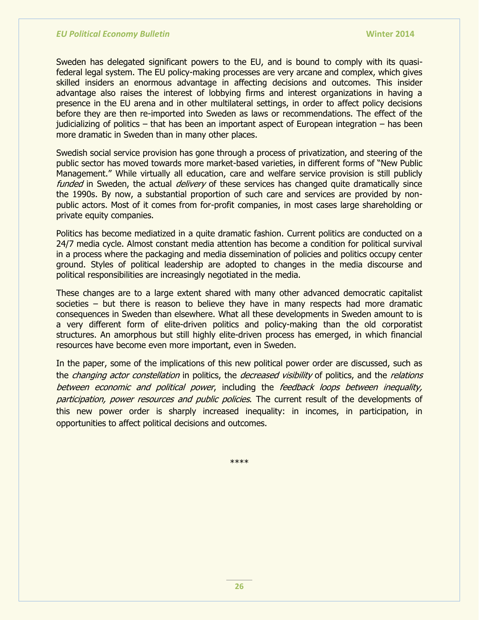Sweden has delegated significant powers to the EU, and is bound to comply with its quasifederal legal system. The EU policy-making processes are very arcane and complex, which gives skilled insiders an enormous advantage in affecting decisions and outcomes. This insider advantage also raises the interest of lobbying firms and interest organizations in having a presence in the EU arena and in other multilateral settings, in order to affect policy decisions before they are then re-imported into Sweden as laws or recommendations. The effect of the judicializing of politics  $-$  that has been an important aspect of European integration  $-$  has been more dramatic in Sweden than in many other places.

Swedish social service provision has gone through a process of privatization, and steering of the public sector has moved towards more market-based varieties, in different forms of "New Public Management." While virtually all education, care and welfare service provision is still publicly funded in Sweden, the actual *delivery* of these services has changed quite dramatically since the 1990s. By now, a substantial proportion of such care and services are provided by nonpublic actors. Most of it comes from for-profit companies, in most cases large shareholding or private equity companies.

Politics has become mediatized in a quite dramatic fashion. Current politics are conducted on a 24/7 media cycle. Almost constant media attention has become a condition for political survival in a process where the packaging and media dissemination of policies and politics occupy center ground. Styles of political leadership are adopted to changes in the media discourse and political responsibilities are increasingly negotiated in the media.

These changes are to a large extent shared with many other advanced democratic capitalist societies – but there is reason to believe they have in many respects had more dramatic consequences in Sweden than elsewhere. What all these developments in Sweden amount to is a very different form of elite-driven politics and policy-making than the old corporatist structures. An amorphous but still highly elite-driven process has emerged, in which financial resources have become even more important, even in Sweden.

In the paper, some of the implications of this new political power order are discussed, such as the *changing actor constellation* in politics, the *decreased visibility* of politics, and the *relations* between economic and political power, including the feedback loops between inequality, participation, power resources and public policies. The current result of the developments of this new power order is sharply increased inequality: in incomes, in participation, in opportunities to affect political decisions and outcomes.

\*\*\*\*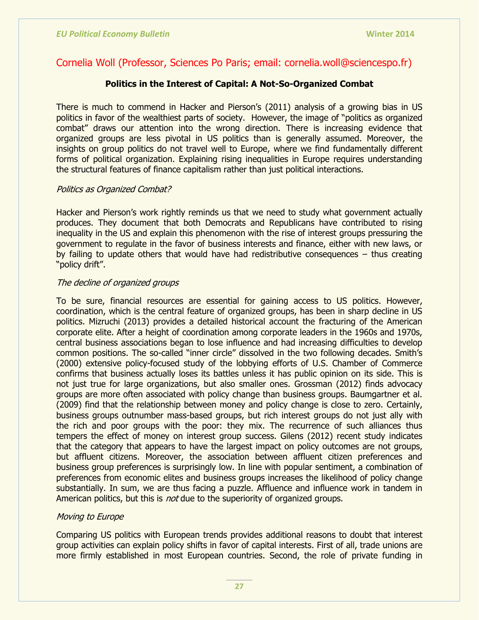## Cornelia Woll (Professor, Sciences Po Paris; email: cornelia.woll@sciencespo.fr)

## **Politics in the Interest of Capital: A Not-So-Organized Combat**

There is much to commend in Hacker and Pierson's (2011) analysis of a growing bias in US politics in favor of the wealthiest parts of society. However, the image of "politics as organized combat" draws our attention into the wrong direction. There is increasing evidence that organized groups are less pivotal in US politics than is generally assumed. Moreover, the insights on group politics do not travel well to Europe, where we find fundamentally different forms of political organization. Explaining rising inequalities in Europe requires understanding the structural features of finance capitalism rather than just political interactions.

## Politics as Organized Combat?

Hacker and Pierson's work rightly reminds us that we need to study what government actually produces. They document that both Democrats and Republicans have contributed to rising inequality in the US and explain this phenomenon with the rise of interest groups pressuring the government to regulate in the favor of business interests and finance, either with new laws, or by failing to update others that would have had redistributive consequences – thus creating "policy drift".

### The decline of organized groups

To be sure, financial resources are essential for gaining access to US politics. However, coordination, which is the central feature of organized groups, has been in sharp decline in US politics. Mizruchi (2013) provides a detailed historical account the fracturing of the American corporate elite. After a height of coordination among corporate leaders in the 1960s and 1970s, central business associations began to lose influence and had increasing difficulties to develop common positions. The so-called "inner circle" dissolved in the two following decades. Smith's (2000) extensive policy-focused study of the lobbying efforts of U.S. Chamber of Commerce confirms that business actually loses its battles unless it has public opinion on its side. This is not just true for large organizations, but also smaller ones. Grossman (2012) finds advocacy groups are more often associated with policy change than business groups. Baumgartner et al. (2009) find that the relationship between money and policy change is close to zero. Certainly, business groups outnumber mass-based groups, but rich interest groups do not just ally with the rich and poor groups with the poor: they mix. The recurrence of such alliances thus tempers the effect of money on interest group success. Gilens (2012) recent study indicates that the category that appears to have the largest impact on policy outcomes are not groups, but affluent citizens. Moreover, the association between affluent citizen preferences and business group preferences is surprisingly low. In line with popular sentiment, a combination of preferences from economic elites and business groups increases the likelihood of policy change substantially. In sum, we are thus facing a puzzle. Affluence and influence work in tandem in American politics, but this is *not* due to the superiority of organized groups.

## Moving to Europe

Comparing US politics with European trends provides additional reasons to doubt that interest group activities can explain policy shifts in favor of capital interests. First of all, trade unions are more firmly established in most European countries. Second, the role of private funding in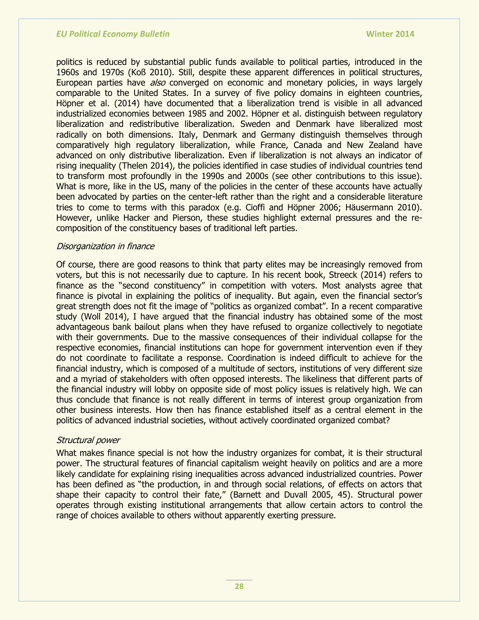politics is reduced by substantial public funds available to political parties, introduced in the 1960s and 1970s (Koß 2010). Still, despite these apparent differences in political structures, European parties have *also* converged on economic and monetary policies, in ways largely comparable to the United States. In a survey of five policy domains in eighteen countries, Höpner et al. (2014) have documented that a liberalization trend is visible in all advanced industrialized economies between 1985 and 2002. Höpner et al. distinguish between regulatory liberalization and redistributive liberalization. Sweden and Denmark have liberalized most radically on both dimensions. Italy, Denmark and Germany distinguish themselves through comparatively high regulatory liberalization, while France, Canada and New Zealand have advanced on only distributive liberalization. Even if liberalization is not always an indicator of rising inequality (Thelen 2014), the policies identified in case studies of individual countries tend to transform most profoundly in the 1990s and 2000s (see other contributions to this issue). What is more, like in the US, many of the policies in the center of these accounts have actually been advocated by parties on the center-left rather than the right and a considerable literature tries to come to terms with this paradox (e.g. Cioffi and Höpner 2006; Häusermann 2010). However, unlike Hacker and Pierson, these studies highlight external pressures and the recomposition of the constituency bases of traditional left parties.

#### Disorganization in finance

Of course, there are good reasons to think that party elites may be increasingly removed from voters, but this is not necessarily due to capture. In his recent book, Streeck (2014) refers to finance as the "second constituency" in competition with voters. Most analysts agree that finance is pivotal in explaining the politics of inequality. But again, even the financial sector's great strength does not fit the image of "politics as organized combat". In a recent comparative study (Woll 2014), I have argued that the financial industry has obtained some of the most advantageous bank bailout plans when they have refused to organize collectively to negotiate with their governments. Due to the massive consequences of their individual collapse for the respective economies, financial institutions can hope for government intervention even if they do not coordinate to facilitate a response. Coordination is indeed difficult to achieve for the financial industry, which is composed of a multitude of sectors, institutions of very different size and a myriad of stakeholders with often opposed interests. The likeliness that different parts of the financial industry will lobby on opposite side of most policy issues is relatively high. We can thus conclude that finance is not really different in terms of interest group organization from other business interests. How then has finance established itself as a central element in the politics of advanced industrial societies, without actively coordinated organized combat?

#### Structural power

What makes finance special is not how the industry organizes for combat, it is their structural power. The structural features of financial capitalism weight heavily on politics and are a more likely candidate for explaining rising inequalities across advanced industrialized countries. Power has been defined as "the production, in and through social relations, of effects on actors that shape their capacity to control their fate," (Barnett and Duvall 2005, 45). Structural power operates through existing institutional arrangements that allow certain actors to control the range of choices available to others without apparently exerting pressure.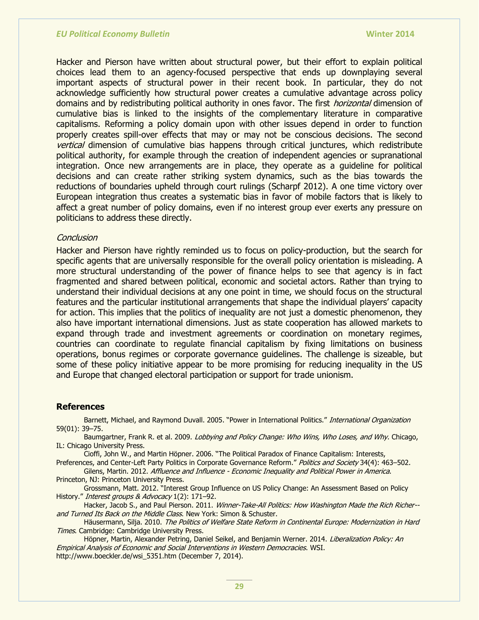Hacker and Pierson have written about structural power, but their effort to explain political choices lead them to an agency-focused perspective that ends up downplaying several important aspects of structural power in their recent book. In particular, they do not acknowledge sufficiently how structural power creates a cumulative advantage across policy domains and by redistributing political authority in ones favor. The first *horizontal* dimension of cumulative bias is linked to the insights of the complementary literature in comparative capitalisms. Reforming a policy domain upon with other issues depend in order to function properly creates spill-over effects that may or may not be conscious decisions. The second **vertical dimension of cumulative bias happens through critical junctures, which redistribute** political authority, for example through the creation of independent agencies or supranational integration. Once new arrangements are in place, they operate as a guideline for political decisions and can create rather striking system dynamics, such as the bias towards the reductions of boundaries upheld through court rulings (Scharpf 2012). A one time victory over European integration thus creates a systematic bias in favor of mobile factors that is likely to affect a great number of policy domains, even if no interest group ever exerts any pressure on politicians to address these directly.

#### **Conclusion**

Hacker and Pierson have rightly reminded us to focus on policy-production, but the search for specific agents that are universally responsible for the overall policy orientation is misleading. A more structural understanding of the power of finance helps to see that agency is in fact fragmented and shared between political, economic and societal actors. Rather than trying to understand their individual decisions at any one point in time, we should focus on the structural features and the particular institutional arrangements that shape the individual players' capacity for action. This implies that the politics of inequality are not just a domestic phenomenon, they also have important international dimensions. Just as state cooperation has allowed markets to expand through trade and investment agreements or coordination on monetary regimes, countries can coordinate to regulate financial capitalism by fixing limitations on business operations, bonus regimes or corporate governance guidelines. The challenge is sizeable, but some of these policy initiative appear to be more promising for reducing inequality in the US and Europe that changed electoral participation or support for trade unionism.

#### **References**

Barnett, Michael, and Raymond Duvall. 2005. "Power in International Politics." International Organization 59(01): 39–75.

Baumgartner, Frank R. et al. 2009. Lobbying and Policy Change: Who Wins, Who Loses, and Why. Chicago, IL: Chicago University Press.

Cioffi, John W., and Martin Höpner. 2006. "The Political Paradox of Finance Capitalism: Interests,

Preferences, and Center-Left Party Politics in Corporate Governance Reform." Politics and Society 34(4): 463–502. Gilens, Martin. 2012. Affluence and Influence - Economic Inequality and Political Power in America.

Princeton, NJ: Princeton University Press. Grossmann, Matt. 2012. "Interest Group Influence on US Policy Change: An Assessment Based on Policy

History." Interest groups & Advocacy 1(2): 171-92. Hacker, Jacob S., and Paul Pierson. 2011. Winner-Take-All Politics: How Washington Made the Rich Richer-and Turned Its Back on the Middle Class. New York: Simon & Schuster.

Häusermann, Silja. 2010. The Politics of Welfare State Reform in Continental Europe: Modernization in Hard **Times. Cambridge: Cambridge University Press.** 

Höpner, Martin, Alexander Petring, Daniel Seikel, and Benjamin Werner. 2014. Liberalization Policy: An Empirical Analysis of Economic and Social Interventions in Western Democracies. WSI. http://www.boeckler.de/wsi\_5351.htm (December 7, 2014).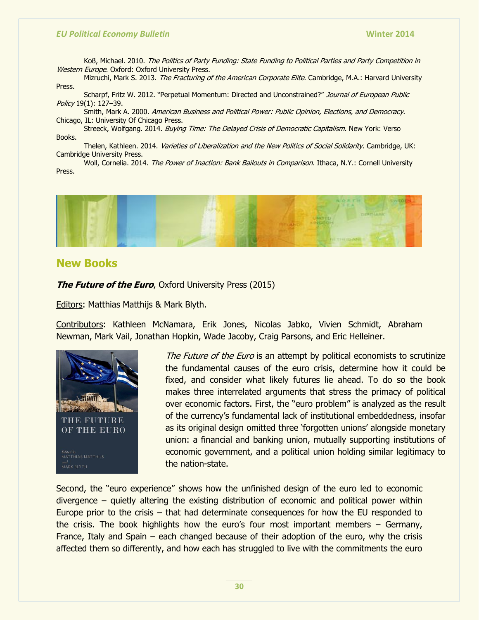Koß, Michael. 2010. The Politics of Party Funding: State Funding to Political Parties and Party Competition in Western Europe. Oxford: Oxford University Press.

Mizruchi, Mark S. 2013. The Fracturing of the American Corporate Elite. Cambridge, M.A.: Harvard University Press.

Scharpf, Fritz W. 2012. "Perpetual Momentum: Directed and Unconstrained?" Journal of European Public Policy 19(1): 127–39.

Smith, Mark A. 2000. American Business and Political Power: Public Opinion, Elections, and Democracy. Chicago, IL: University Of Chicago Press.

Streeck, Wolfgang. 2014. Buying Time: The Delayed Crisis of Democratic Capitalism. New York: Verso Books.

Thelen, Kathleen. 2014. Varieties of Liberalization and the New Politics of Social Solidarity. Cambridge, UK: Cambridge University Press.

Woll, Cornelia. 2014. The Power of Inaction: Bank Bailouts in Comparison. Ithaca, N.Y.: Cornell University Press.



## **New Books**

**The Future of the Euro**, Oxford University Press (2015)

Editors: Matthias Matthijs & Mark Blyth.

Contributors: Kathleen McNamara, Erik Jones, Nicolas Jabko, Vivien Schmidt, Abraham Newman, Mark Vail, Jonathan Hopkin, Wade Jacoby, Craig Parsons, and Eric Helleiner.



The Future of the Euro is an attempt by political economists to scrutinize the fundamental causes of the euro crisis, determine how it could be fixed, and consider what likely futures lie ahead. To do so the book makes three interrelated arguments that stress the primacy of political over economic factors. First, the "euro problem" is analyzed as the result of the currency's fundamental lack of institutional embeddedness, insofar as its original design omitted three 'forgotten unions' alongside monetary union: a financial and banking union, mutually supporting institutions of economic government, and a political union holding similar legitimacy to the nation-state.

Second, the "euro experience" shows how the unfinished design of the euro led to economic divergence – quietly altering the existing distribution of economic and political power within Europe prior to the crisis – that had determinate consequences for how the EU responded to the crisis. The book highlights how the euro's four most important members – Germany, France, Italy and Spain – each changed because of their adoption of the euro, why the crisis affected them so differently, and how each has struggled to live with the commitments the euro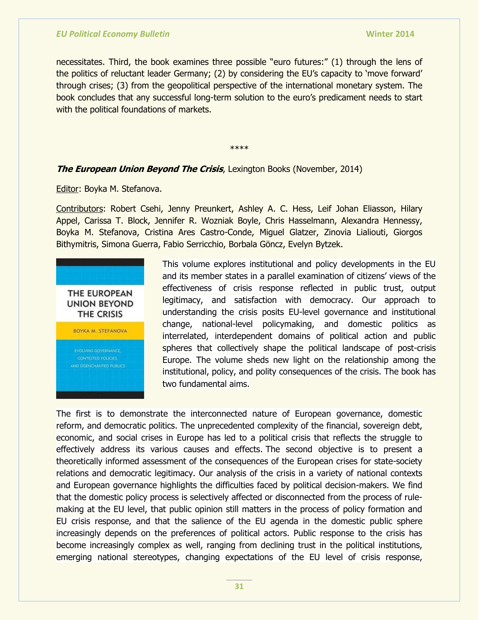necessitates. Third, the book examines three possible "euro futures:" (1) through the lens of the politics of reluctant leader Germany; (2) by considering the EU's capacity to 'move forward' through crises; (3) from the geopolitical perspective of the international monetary system. The book concludes that any successful long-term solution to the euro's predicament needs to start with the political foundations of markets.

\*\*\*\*

## **The European Union Beyond The Crisis**, Lexington Books (November, 2014)

Editor: Boyka M. Stefanova.

Contributors: Robert Csehi, Jenny Preunkert, Ashley A. C. Hess, Leif Johan Eliasson, Hilary Appel, Carissa T. Block, Jennifer R. Wozniak Boyle, Chris Hasselmann, Alexandra Hennessy, Boyka M. Stefanova, Cristina Ares Castro-Conde, Miguel Glatzer, Zinovia Lialiouti, Giorgos Bithymitris, Simona Guerra, Fabio Serricchio, Borbala Göncz, Evelyn Bytzek.



This volume explores institutional and policy developments in the EU and its member states in a parallel examination of citizens' views of the effectiveness of crisis response reflected in public trust, output legitimacy, and satisfaction with democracy. Our approach to understanding the crisis posits EU-level governance and institutional change, national-level policymaking, and domestic politics as interrelated, interdependent domains of political action and public spheres that collectively shape the political landscape of post-crisis Europe. The volume sheds new light on the relationship among the institutional, policy, and polity consequences of the crisis. The book has two fundamental aims.

The first is to demonstrate the interconnected nature of European governance, domestic reform, and democratic politics. The unprecedented complexity of the financial, sovereign debt, economic, and social crises in Europe has led to a political crisis that reflects the struggle to effectively address its various causes and effects. The second objective is to present a theoretically informed assessment of the consequences of the European crises for state-society relations and democratic legitimacy. Our analysis of the crisis in a variety of national contexts and European governance highlights the difficulties faced by political decision-makers. We find that the domestic policy process is selectively affected or disconnected from the process of rulemaking at the EU level, that public opinion still matters in the process of policy formation and EU crisis response, and that the salience of the EU agenda in the domestic public sphere increasingly depends on the preferences of political actors. Public response to the crisis has become increasingly complex as well, ranging from declining trust in the political institutions, emerging national stereotypes, changing expectations of the EU level of crisis response,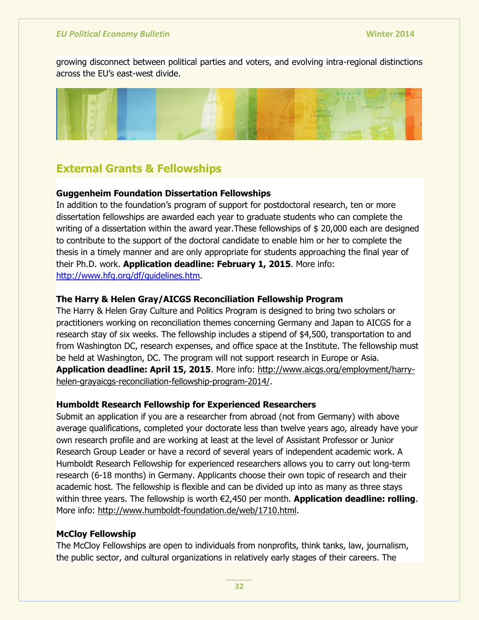growing disconnect between political parties and voters, and evolving intra-regional distinctions across the EU's east-west divide.



# **External Grants & Fellowships**

## **Guggenheim Foundation Dissertation Fellowships**

In addition to the foundation's program of support for postdoctoral research, ten or more dissertation fellowships are awarded each year to graduate students who can complete the writing of a dissertation within the award year.These fellowships of \$ 20,000 each are designed to contribute to the support of the doctoral candidate to enable him or her to complete the thesis in a timely manner and are only appropriate for students approaching the final year of their Ph.D. work. **Application deadline: February 1, 2015**. More info: [http://www.hfg.org/df/guidelines.htm.](http://www.hfg.org/df/guidelines.htm)

## **The Harry & Helen Gray/AICGS Reconciliation Fellowship Program**

The Harry & Helen Gray Culture and Politics Program is designed to bring two scholars or practitioners working on reconciliation themes concerning Germany and Japan to AICGS for a research stay of six weeks. The fellowship includes a stipend of \$4,500, transportation to and from Washington DC, research expenses, and office space at the Institute. The fellowship must be held at Washington, DC. The program will not support research in Europe or Asia. **Application deadline: April 15, 2015**. More info: [http://www.aicgs.org/employment/harry](http://www.aicgs.org/employment/harry-helen-grayaicgs-reconciliation-fellowship-program-2014/)[helen-grayaicgs-reconciliation-fellowship-program-2014/.](http://www.aicgs.org/employment/harry-helen-grayaicgs-reconciliation-fellowship-program-2014/)

## **Humboldt Research Fellowship for Experienced Researchers**

Submit an application if you are a researcher from abroad (not from Germany) with above average qualifications, completed your doctorate less than twelve years ago, already have your own research profile and are working at least at the level of Assistant Professor or Junior Research Group Leader or have a record of several years of independent academic work. A Humboldt Research Fellowship for experienced researchers allows you to carry out long-term research (6-18 months) in Germany. Applicants choose their own topic of research and their academic host. The fellowship is flexible and can be divided up into as many as three stays within three years. The fellowship is worth €2,450 per month. **Application deadline: rolling**. More info: [http://www.humboldt-foundation.de/web/1710.html.](http://www.humboldt-foundation.de/web/1710.html)

## **McCloy Fellowship**

The McCloy Fellowships are open to individuals from nonprofits, think tanks, law, journalism, the public sector, and cultural organizations in relatively early stages of their careers. The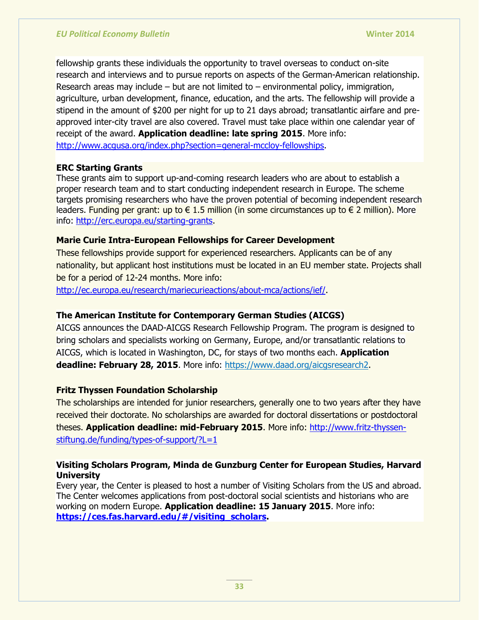fellowship grants these individuals the opportunity to travel overseas to conduct on-site research and interviews and to pursue reports on aspects of the German-American relationship. Research areas may include – but are not limited to – environmental policy, immigration, agriculture, urban development, finance, education, and the arts. The fellowship will provide a stipend in the amount of \$200 per night for up to 21 days abroad; transatlantic airfare and preapproved inter-city travel are also covered. Travel must take place within one calendar year of receipt of the award. **Application deadline: late spring 2015**. More info: [http://www.acgusa.org/index.php?section=general-mccloy-fellowships.](http://www.acgusa.org/index.php?section=general-mccloy-fellowships)

## **ERC Starting Grants**

These grants aim to support up-and-coming research leaders who are about to establish a proper research team and to start conducting independent research in Europe. The scheme targets promising researchers who have the proven potential of becoming independent research leaders. Funding per grant: up to  $\in$  1.5 million (in some circumstances up to  $\in$  2 million). More info: [http://erc.europa.eu/starting-grants.](http://erc.europa.eu/starting-grants)

## **Marie Curie Intra-European Fellowships for Career Development**

These fellowships provide support for experienced researchers. Applicants can be of any nationality, but applicant host institutions must be located in an EU member state. Projects shall be for a period of 12-24 months. More info:

[http://ec.europa.eu/research/mariecurieactions/about-mca/actions/ief/.](http://ec.europa.eu/research/mariecurieactions/about-mca/actions/ief/)

## **The American Institute for Contemporary German Studies (AICGS)**

AICGS announces the DAAD-AICGS Research Fellowship Program. The program is designed to bring scholars and specialists working on Germany, Europe, and/or transatlantic relations to AICGS, which is located in Washington, DC, for stays of two months each. **Application deadline: February 28, 2015**. More info: [https://www.daad.org/aicgsresearch2.](https://www.daad.org/aicgsresearch2)

## **Fritz Thyssen Foundation Scholarship**

The scholarships are intended for junior researchers, generally one to two years after they have received their doctorate. No scholarships are awarded for doctoral dissertations or postdoctoral theses. **Application deadline: mid-February 2015**. More info: [http://www.fritz-thyssen](http://www.fritz-thyssen-stiftung.de/funding/types-of-support/?L=1)[stiftung.de/funding/types-of-support/?L=1](http://www.fritz-thyssen-stiftung.de/funding/types-of-support/?L=1)

## **Visiting Scholars Program, Minda de Gunzburg Center for European Studies, Harvard University**

Every year, the Center is pleased to host a number of Visiting Scholars from the US and abroad. The Center welcomes applications from post-doctoral social scientists and historians who are working on modern Europe. **Application deadline: 15 January 2015**. More info: **[https://ces.fas.harvard.edu/#/visiting\\_scholars.](https://ces.fas.harvard.edu/#/visiting_scholars)**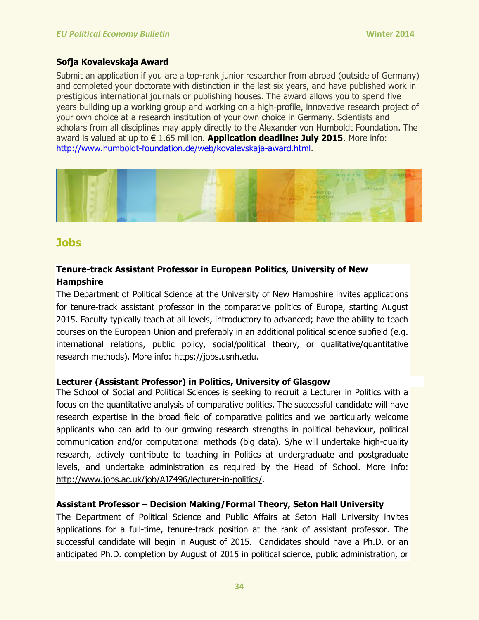## **Sofja Kovalevskaja Award**

Submit an application if you are a top-rank junior researcher from abroad (outside of Germany) and completed your doctorate with distinction in the last six years, and have published work in prestigious international journals or publishing houses. The award allows you to spend five years building up a working group and working on a high-profile, innovative research project of your own choice at a research institution of your own choice in Germany. Scientists and scholars from all disciplines may apply directly to the Alexander von Humboldt Foundation. The award is valued at up to € 1.65 million. **Application deadline: July 2015**. More info: [http://www.humboldt-foundation.de/web/kovalevskaja-award.html.](http://www.humboldt-foundation.de/web/kovalevskaja-award.html)



## **Jobs**

## **Tenure-track Assistant Professor in European Politics, University of New Hampshire**

The Department of Political Science at the University of New Hampshire invites applications for tenure-track assistant professor in the comparative politics of Europe, starting August 2015. Faculty typically teach at all levels, introductory to advanced; have the ability to teach courses on the European Union and preferably in an additional political science subfield (e.g. international relations, public policy, social/political theory, or qualitative/quantitative research methods). More info: [https://jobs.usnh.edu.](https://jobs.usnh.edu/)

## **Lecturer (Assistant Professor) in Politics, University of Glasgow**

The School of Social and Political Sciences is seeking to recruit a Lecturer in Politics with a focus on the quantitative analysis of comparative politics. The successful candidate will have research expertise in the broad field of comparative politics and we particularly welcome applicants who can add to our growing research strengths in political behaviour, political communication and/or computational methods (big data). S/he will undertake high-quality research, actively contribute to teaching in Politics at undergraduate and postgraduate levels, and undertake administration as required by the Head of School. More info: [http://www.jobs.ac.uk/job/AJZ496/lecturer-in-politics/.](http://www.jobs.ac.uk/job/AJZ496/lecturer-in-politics/)

## **Assistant Professor – Decision Making/Formal Theory, Seton Hall University**

The Department of Political Science and Public Affairs at Seton Hall University invites applications for a full-time, tenure-track position at the rank of assistant professor. The successful candidate will begin in August of 2015. Candidates should have a Ph.D. or an anticipated Ph.D. completion by August of 2015 in political science, public administration, or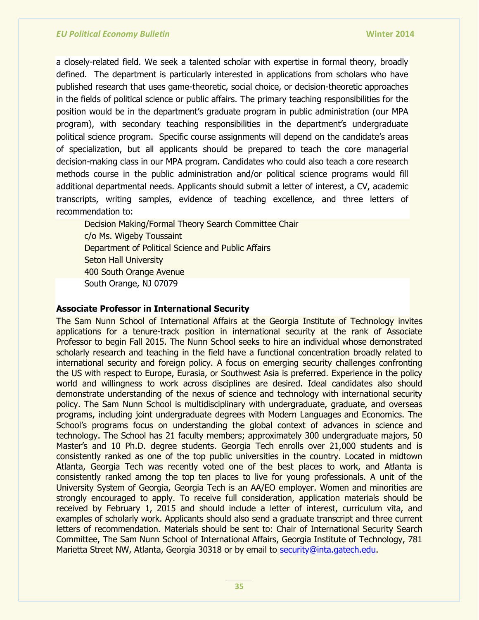a closely-related field. We seek a talented scholar with expertise in formal theory, broadly defined. The department is particularly interested in applications from scholars who have published research that uses game-theoretic, social choice, or decision-theoretic approaches in the fields of political science or public affairs. The primary teaching responsibilities for the position would be in the department's graduate program in public administration (our MPA program), with secondary teaching responsibilities in the department's undergraduate political science program. Specific course assignments will depend on the candidate's areas of specialization, but all applicants should be prepared to teach the core managerial decision-making class in our MPA program. Candidates who could also teach a core research methods course in the public administration and/or political science programs would fill additional departmental needs. Applicants should submit a letter of interest, a CV, academic transcripts, writing samples, evidence of teaching excellence, and three letters of recommendation to:

Decision Making/Formal Theory Search Committee Chair c/o Ms. Wigeby Toussaint Department of Political Science and Public Affairs Seton Hall University 400 South Orange Avenue South Orange, NJ 07079

#### **Associate Professor in International Security**

The Sam Nunn School of International Affairs at the Georgia Institute of Technology invites applications for a tenure-track position in international security at the rank of Associate Professor to begin Fall 2015. The Nunn School seeks to hire an individual whose demonstrated scholarly research and teaching in the field have a functional concentration broadly related to international security and foreign policy. A focus on emerging security challenges confronting the US with respect to Europe, Eurasia, or Southwest Asia is preferred. Experience in the policy world and willingness to work across disciplines are desired. Ideal candidates also should demonstrate understanding of the nexus of science and technology with international security policy. The Sam Nunn School is multidisciplinary with undergraduate, graduate, and overseas programs, including joint undergraduate degrees with Modern Languages and Economics. The School's programs focus on understanding the global context of advances in science and technology. The School has 21 faculty members; approximately 300 undergraduate majors, 50 Master's and 10 Ph.D. degree students. Georgia Tech enrolls over 21,000 students and is consistently ranked as one of the top public universities in the country. Located in midtown Atlanta, Georgia Tech was recently voted one of the best places to work, and Atlanta is consistently ranked among the top ten places to live for young professionals. A unit of the University System of Georgia, Georgia Tech is an AA/EO employer. Women and minorities are strongly encouraged to apply. To receive full consideration, application materials should be received by February 1, 2015 and should include a letter of interest, curriculum vita, and examples of scholarly work. Applicants should also send a graduate transcript and three current letters of recommendation. Materials should be sent to: Chair of International Security Search Committee, The Sam Nunn School of International Affairs, Georgia Institute of Technology, 781 Marietta Street NW, Atlanta, Georgia 30318 or by email to [security@inta.gatech.edu.](mailto:security@inta.gatech.edu)